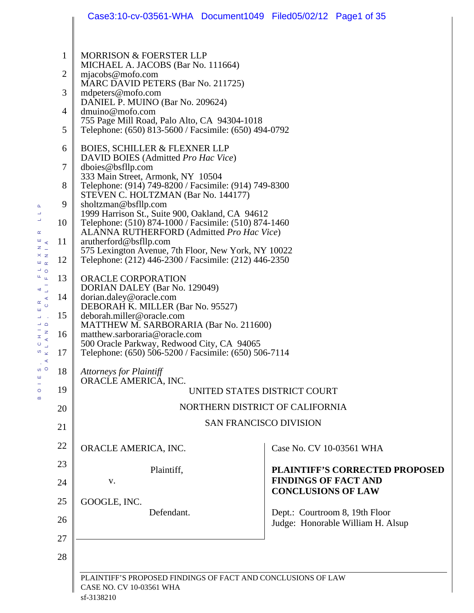|    | Case3:10-cv-03561-WHA Document1049 Filed05/02/12 Page1 of 35                                                 |  |                                                                     |                                       |  |  |
|----|--------------------------------------------------------------------------------------------------------------|--|---------------------------------------------------------------------|---------------------------------------|--|--|
|    |                                                                                                              |  |                                                                     |                                       |  |  |
| 1  | MORRISON & FOERSTER LLP<br>MICHAEL A. JACOBS (Bar No. 111664)                                                |  |                                                                     |                                       |  |  |
| 2  | $m$ jacobs@mofo.com<br>MARC DAVID PETERS (Bar No. 211725)                                                    |  |                                                                     |                                       |  |  |
| 3  | mdpeters@mofo.com                                                                                            |  |                                                                     |                                       |  |  |
| 4  | DANIEL P. MUINO (Bar No. 209624)<br>dmuino@mofo.com                                                          |  |                                                                     |                                       |  |  |
| 5  | 755 Page Mill Road, Palo Alto, CA 94304-1018<br>Telephone: (650) 813-5600 / Facsimile: (650) 494-0792        |  |                                                                     |                                       |  |  |
| 6  | <b>BOIES, SCHILLER &amp; FLEXNER LLP</b><br>DAVID BOIES (Admitted Pro Hac Vice)                              |  |                                                                     |                                       |  |  |
| 7  | dboies@bsfllp.com                                                                                            |  |                                                                     |                                       |  |  |
| 8  | 333 Main Street, Armonk, NY 10504<br>Telephone: (914) 749-8200 / Facsimile: (914) 749-8300                   |  |                                                                     |                                       |  |  |
| 9  | STEVEN C. HOLTZMAN (Bar No. 144177)<br>sholtzman@bsfllp.com                                                  |  |                                                                     |                                       |  |  |
| 10 | 1999 Harrison St., Suite 900, Oakland, CA 94612<br>Telephone: (510) 874-1000 / Facsimile: (510) 874-1460     |  |                                                                     |                                       |  |  |
| 11 | ALANNA RUTHERFORD (Admitted Pro Hac Vice)<br>arutherford@bsfllp.com                                          |  |                                                                     |                                       |  |  |
| 12 | 575 Lexington Avenue, 7th Floor, New York, NY 10022<br>Telephone: (212) 446-2300 / Facsimile: (212) 446-2350 |  |                                                                     |                                       |  |  |
| 13 | ORACLE CORPORATION<br>DORIAN DALEY (Bar No. 129049)<br>dorian.daley@oracle.com                               |  |                                                                     |                                       |  |  |
| 14 |                                                                                                              |  |                                                                     |                                       |  |  |
| 15 | DEBORAH K. MILLER (Bar No. 95527)<br>deborah.miller@oracle.com                                               |  |                                                                     |                                       |  |  |
| 16 | MATTHEW M. SARBORARIA (Bar No. 211600)<br>matthew.sarboraria@oracle.com                                      |  |                                                                     |                                       |  |  |
| 17 | 500 Oracle Parkway, Redwood City, CA 94065<br>Telephone: (650) 506-5200 / Facsimile: (650) 506-7114          |  |                                                                     |                                       |  |  |
| 18 | <b>Attorneys for Plaintiff</b>                                                                               |  |                                                                     |                                       |  |  |
| 19 | ORACLE AMERICA, INC.<br>UNITED STATES DISTRICT COURT                                                         |  |                                                                     |                                       |  |  |
| 20 | NORTHERN DISTRICT OF CALIFORNIA                                                                              |  |                                                                     |                                       |  |  |
| 21 | <b>SAN FRANCISCO DIVISION</b>                                                                                |  |                                                                     |                                       |  |  |
| 22 | ORACLE AMERICA, INC.                                                                                         |  | Case No. CV 10-03561 WHA                                            |                                       |  |  |
| 23 | Plaintiff,                                                                                                   |  |                                                                     | <b>PLAINTIFF'S CORRECTED PROPOSED</b> |  |  |
| 24 | V.                                                                                                           |  | <b>FINDINGS OF FACT AND</b><br><b>CONCLUSIONS OF LAW</b>            |                                       |  |  |
| 25 | GOOGLE, INC.                                                                                                 |  |                                                                     |                                       |  |  |
| 26 | Defendant.                                                                                                   |  | Dept.: Courtroom 8, 19th Floor<br>Judge: Honorable William H. Alsup |                                       |  |  |
| 27 |                                                                                                              |  |                                                                     |                                       |  |  |
| 28 |                                                                                                              |  |                                                                     |                                       |  |  |
|    | PLAINTIFF'S PROPOSED FINDINGS OF FACT AND CONCLUSIONS OF LAW                                                 |  |                                                                     |                                       |  |  |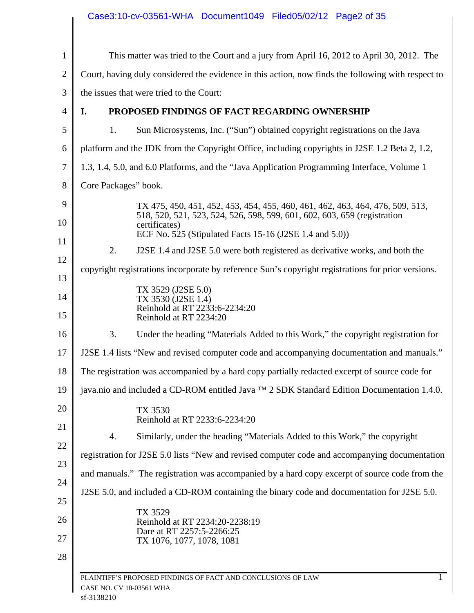| 24<br>25       |                                                                                            |                                                                                                                                     |
|----------------|--------------------------------------------------------------------------------------------|-------------------------------------------------------------------------------------------------------------------------------------|
|                | J2SE 5.0, and included a CD-ROM containing the binary code and documentation for J2SE 5.0. |                                                                                                                                     |
| 23             |                                                                                            | and manuals." The registration was accompanied by a hard copy excerpt of source code from the                                       |
| 22             |                                                                                            | registration for J2SE 5.0 lists "New and revised computer code and accompanying documentation                                       |
| 21             | 4.                                                                                         | Similarly, under the heading "Materials Added to this Work," the copyright                                                          |
| 20             | TX 3530<br>Reinhold at RT 2233:6-2234:20                                                   |                                                                                                                                     |
| 19             |                                                                                            | java.nio and included a CD-ROM entitled Java ™ 2 SDK Standard Edition Documentation 1.4.0.                                          |
| 18             |                                                                                            | The registration was accompanied by a hard copy partially redacted excerpt of source code for                                       |
| 17             |                                                                                            | J2SE 1.4 lists "New and revised computer code and accompanying documentation and manuals."                                          |
| 16             | 3.                                                                                         | Under the heading "Materials Added to this Work," the copyright registration for                                                    |
| 14<br>15       | TX 3530 (J2SE 1.4)<br>Reinhold at RT 2233:6-2234:20<br>Reinhold at RT 2234:20              |                                                                                                                                     |
| 13             | TX 3529 (J2SE 5.0)                                                                         |                                                                                                                                     |
| 12             |                                                                                            | copyright registrations incorporate by reference Sun's copyright registrations for prior versions.                                  |
| 11             | 2.                                                                                         | J2SE 1.4 and J2SE 5.0 were both registered as derivative works, and both the                                                        |
| 10             | certificates)                                                                              | 518, 520, 521, 523, 524, 526, 598, 599, 601, 602, 603, 659 (registration<br>ECF No. 525 (Stipulated Facts 15-16 (J2SE 1.4 and 5.0)) |
| 9              |                                                                                            | TX 475, 450, 451, 452, 453, 454, 455, 460, 461, 462, 463, 464, 476, 509, 513,                                                       |
| 8              | Core Packages" book.                                                                       |                                                                                                                                     |
| 7              |                                                                                            | 1.3, 1.4, 5.0, and 6.0 Platforms, and the "Java Application Programming Interface, Volume 1                                         |
| 6              |                                                                                            | platform and the JDK from the Copyright Office, including copyrights in J2SE 1.2 Beta 2, 1.2,                                       |
| 5              | 1.                                                                                         | Sun Microsystems, Inc. ("Sun") obtained copyright registrations on the Java                                                         |
| 4              | I.                                                                                         | PROPOSED FINDINGS OF FACT REGARDING OWNERSHIP                                                                                       |
| 3              | the issues that were tried to the Court:                                                   |                                                                                                                                     |
| $\overline{2}$ |                                                                                            | Court, having duly considered the evidence in this action, now finds the following with respect to                                  |
| $\mathbf{1}$   |                                                                                            | This matter was tried to the Court and a jury from April 16, 2012 to April 30, 2012. The                                            |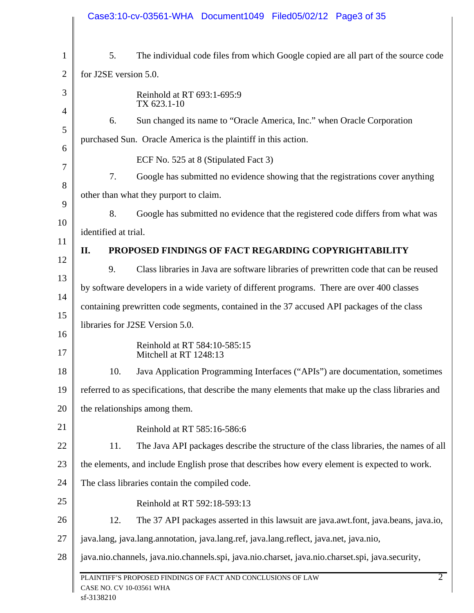|                | Case3:10-cv-03561-WHA Document1049 Filed05/02/12 Page3 of 35                                                             |
|----------------|--------------------------------------------------------------------------------------------------------------------------|
| $\mathbf{1}$   | 5.<br>The individual code files from which Google copied are all part of the source code                                 |
| $\overline{2}$ | for J2SE version 5.0.                                                                                                    |
| 3              | Reinhold at RT 693:1-695:9<br>TX 623.1-10                                                                                |
| $\overline{4}$ | Sun changed its name to "Oracle America, Inc." when Oracle Corporation<br>6.                                             |
| 5              | purchased Sun. Oracle America is the plaintiff in this action.                                                           |
| 6              | ECF No. 525 at 8 (Stipulated Fact 3)                                                                                     |
| $\overline{7}$ | Google has submitted no evidence showing that the registrations cover anything<br>7.                                     |
| 8              | other than what they purport to claim.                                                                                   |
| 9              | 8.<br>Google has submitted no evidence that the registered code differs from what was                                    |
| 10             | identified at trial.                                                                                                     |
| 11             | II.<br>PROPOSED FINDINGS OF FACT REGARDING COPYRIGHTABILITY                                                              |
| 12             | 9.<br>Class libraries in Java are software libraries of prewritten code that can be reused                               |
| 13             | by software developers in a wide variety of different programs. There are over 400 classes                               |
| 14             | containing prewritten code segments, contained in the 37 accused API packages of the class                               |
| 15             | libraries for J2SE Version 5.0.                                                                                          |
| 16<br>17       | Reinhold at RT 584:10-585:15                                                                                             |
| 18             | Mitchell at RT 1248:13<br>Java Application Programming Interfaces ("APIs") are documentation, sometimes<br>10.           |
| 19             | referred to as specifications, that describe the many elements that make up the class libraries and                      |
| 20             | the relationships among them.                                                                                            |
|                |                                                                                                                          |
| 21             | Reinhold at RT 585:16-586:6                                                                                              |
| 22             | The Java API packages describe the structure of the class libraries, the names of all<br>11.                             |
| 23             | the elements, and include English prose that describes how every element is expected to work.                            |
| 24             | The class libraries contain the compiled code.                                                                           |
| 25             | Reinhold at RT 592:18-593:13                                                                                             |
| 26             | The 37 API packages asserted in this lawsuit are java.awt.font, java.beans, java.io,<br>12.                              |
| 27             | java.lang, java.lang.annotation, java.lang.ref, java.lang.reflect, java.net, java.nio,                                   |
| 28             | java.nio.channels, java.nio.channels.spi, java.nio.charset, java.nio.charset.spi, java.security,                         |
|                | $\overline{2}$<br>PLAINTIFF'S PROPOSED FINDINGS OF FACT AND CONCLUSIONS OF LAW<br>CASE NO. CV 10-03561 WHA<br>sf-3138210 |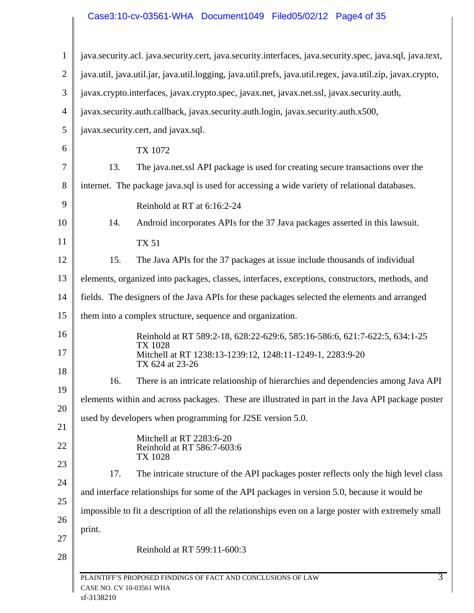## Case3:10-cv-03561-WHA Document1049 Filed05/02/12 Page4 of 35

|        | java.security.acl. java.security.cert, java.security.interfaces, java.security.spec, java.sql, java.text,   |
|--------|-------------------------------------------------------------------------------------------------------------|
|        | java.util, java.util.jar, java.util.logging, java.util.prefs, java.util.regex, java.util.zip, javax.crypto, |
|        | javax.crypto.interfaces, javax.crypto.spec, javax.net, javax.net.ssl, javax.security.auth,                  |
|        | javax.security.auth.callback, javax.security.auth.login, javax.security.auth.x500,                          |
|        | javax.security.cert, and javax.sql.                                                                         |
|        | TX 1072                                                                                                     |
| 13.    | The java.net.ssl API package is used for creating secure transactions over the                              |
|        | internet. The package java.sql is used for accessing a wide variety of relational databases.                |
|        | Reinhold at RT at 6:16:2-24                                                                                 |
| 14.    | Android incorporates APIs for the 37 Java packages asserted in this lawsuit.                                |
|        | <b>TX 51</b>                                                                                                |
| 15.    | The Java APIs for the 37 packages at issue include thousands of individual                                  |
|        | elements, organized into packages, classes, interfaces, exceptions, constructors, methods, and              |
|        | fields. The designers of the Java APIs for these packages selected the elements and arranged                |
|        | them into a complex structure, sequence and organization.                                                   |
|        | Reinhold at RT 589:2-18, 628:22-629:6, 585:16-586:6, 621:7-622:5, 634:1-25<br>TX 1028                       |
|        | Mitchell at RT 1238:13-1239:12, 1248:11-1249-1, 2283:9-20<br>TX 624 at 23-26                                |
| 16.    | There is an intricate relationship of hierarchies and dependencies among Java API                           |
|        | elements within and across packages. These are illustrated in part in the Java API package poster           |
|        | used by developers when programming for J2SE version 5.0.                                                   |
|        | Mitchell at RT 2283:6-20<br>Reinhold at RT 586:7-603:6<br>TX 1028                                           |
| 17.    | The intricate structure of the API packages poster reflects only the high level class                       |
|        | and interface relationships for some of the API packages in version 5.0, because it would be                |
|        | impossible to fit a description of all the relationships even on a large poster with extremely small        |
| print. |                                                                                                             |
|        | Reinhold at RT 599:11-600:3                                                                                 |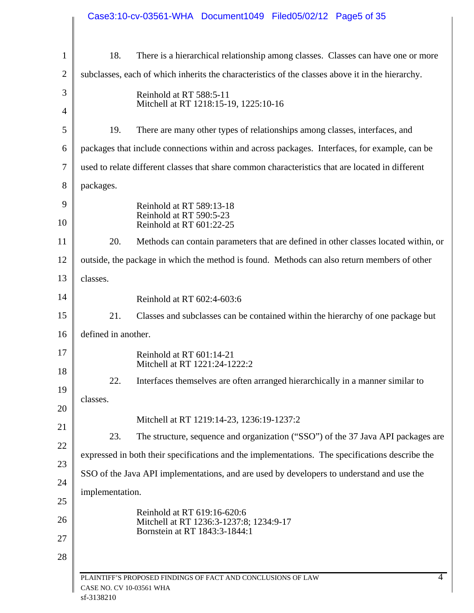|                                        | Case3:10-cv-03561-WHA Document1049 Filed05/02/12 Page5 of 35                                            |
|----------------------------------------|---------------------------------------------------------------------------------------------------------|
| 18.                                    | There is a hierarchical relationship among classes. Classes can have one or more                        |
|                                        | subclasses, each of which inherits the characteristics of the classes above it in the hierarchy.        |
|                                        | Reinhold at RT 588:5-11                                                                                 |
|                                        | Mitchell at RT 1218:15-19, 1225:10-16                                                                   |
| 19.                                    | There are many other types of relationships among classes, interfaces, and                              |
|                                        | packages that include connections within and across packages. Interfaces, for example, can be           |
|                                        | used to relate different classes that share common characteristics that are located in different        |
| packages.                              |                                                                                                         |
|                                        | Reinhold at RT 589:13-18                                                                                |
|                                        | Reinhold at RT 590:5-23<br>Reinhold at RT 601:22-25                                                     |
| 20.                                    | Methods can contain parameters that are defined in other classes located within, or                     |
|                                        | outside, the package in which the method is found. Methods can also return members of other             |
| classes.                               |                                                                                                         |
|                                        | Reinhold at RT 602:4-603:6                                                                              |
| 21.                                    | Classes and subclasses can be contained within the hierarchy of one package but                         |
| defined in another.                    |                                                                                                         |
|                                        | Reinhold at RT 601:14-21<br>Mitchell at RT 1221:24-1222:2                                               |
| 22.                                    | Interfaces themselves are often arranged hierarchically in a manner similar to                          |
| classes.                               |                                                                                                         |
|                                        | Mitchell at RT 1219:14-23, 1236:19-1237:2                                                               |
| 23.                                    | The structure, sequence and organization ("SSO") of the 37 Java API packages are                        |
|                                        | expressed in both their specifications and the implementations. The specifications describe the         |
|                                        | SSO of the Java API implementations, and are used by developers to understand and use the               |
| implementation.                        |                                                                                                         |
|                                        | Reinhold at RT 619:16-620:6<br>Mitchell at RT 1236:3-1237:8; 1234:9-17<br>Bornstein at RT 1843:3-1844:1 |
| CASE NO. CV 10-03561 WHA<br>sf-3138210 | 4<br>PLAINTIFF'S PROPOSED FINDINGS OF FACT AND CONCLUSIONS OF LAW                                       |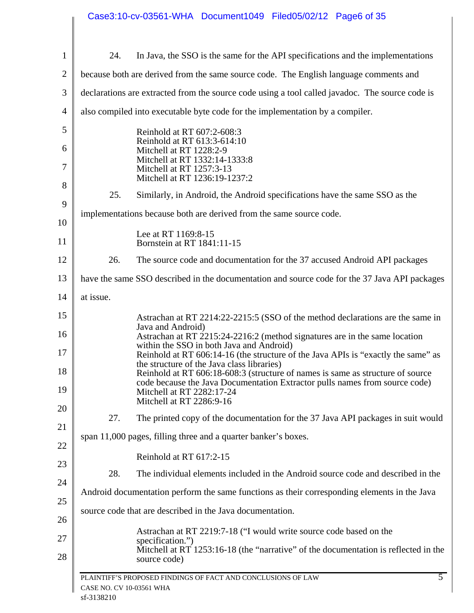|                |                          | Case3:10-cv-03561-WHA Document1049 Filed05/02/12 Page6 of 35                                                                                                                                                           |
|----------------|--------------------------|------------------------------------------------------------------------------------------------------------------------------------------------------------------------------------------------------------------------|
| $\mathbf{1}$   | 24.                      | In Java, the SSO is the same for the API specifications and the implementations                                                                                                                                        |
| $\mathbf{2}$   |                          | because both are derived from the same source code. The English language comments and                                                                                                                                  |
| 3              |                          | declarations are extracted from the source code using a tool called javadoc. The source code is                                                                                                                        |
| $\overline{4}$ |                          | also compiled into executable byte code for the implementation by a compiler.                                                                                                                                          |
| 5              |                          | Reinhold at RT 607:2-608:3                                                                                                                                                                                             |
| 6              |                          | Reinhold at RT 613:3-614:10<br>Mitchell at RT 1228:2-9                                                                                                                                                                 |
| 7              |                          | Mitchell at RT 1332:14-1333:8<br>Mitchell at RT 1257:3-13<br>Mitchell at RT 1236:19-1237:2                                                                                                                             |
| 8              | 25.                      | Similarly, in Android, the Android specifications have the same SSO as the                                                                                                                                             |
| 9              |                          | implementations because both are derived from the same source code.                                                                                                                                                    |
| 10             |                          | Lee at RT 1169:8-15                                                                                                                                                                                                    |
| 11             |                          | Bornstein at RT 1841:11-15                                                                                                                                                                                             |
| 12             | 26.                      | The source code and documentation for the 37 accused Android API packages                                                                                                                                              |
| 13             |                          | have the same SSO described in the documentation and source code for the 37 Java API packages                                                                                                                          |
| 14             | at issue.                |                                                                                                                                                                                                                        |
| 15             |                          | Astrachan at RT 2214:22-2215:5 (SSO of the method declarations are the same in<br>Java and Android)                                                                                                                    |
| 16             |                          | Astrachan at RT 2215:24-2216:2 (method signatures are in the same location<br>within the SSO in both Java and Android)                                                                                                 |
| 17<br>18       |                          | Reinhold at RT 606:14-16 (the structure of the Java APIs is "exactly the same" as<br>the structure of the Java class libraries)                                                                                        |
| 19             |                          | Reinhold at RT 606:18-608:3 (structure of names is same as structure of source<br>code because the Java Documentation Extractor pulls names from source code)<br>Mitchell at RT 2282:17-24<br>Mitchell at RT 2286:9-16 |
| 20             | 27.                      | The printed copy of the documentation for the 37 Java API packages in suit would                                                                                                                                       |
| 21             |                          | span 11,000 pages, filling three and a quarter banker's boxes.                                                                                                                                                         |
| 22             |                          | Reinhold at RT 617:2-15                                                                                                                                                                                                |
| 23             | 28.                      | The individual elements included in the Android source code and described in the                                                                                                                                       |
| 24             |                          | Android documentation perform the same functions as their corresponding elements in the Java                                                                                                                           |
| 25<br>26       |                          | source code that are described in the Java documentation.                                                                                                                                                              |
| 27             |                          | Astrachan at RT 2219:7-18 ("I would write source code based on the                                                                                                                                                     |
| 28             |                          | specification.")<br>Mitchell at RT 1253:16-18 (the "narrative" of the documentation is reflected in the<br>source code)                                                                                                |
|                | CASE NO. CV 10-03561 WHA | $\overline{5}$<br>PLAINTIFF'S PROPOSED FINDINGS OF FACT AND CONCLUSIONS OF LAW                                                                                                                                         |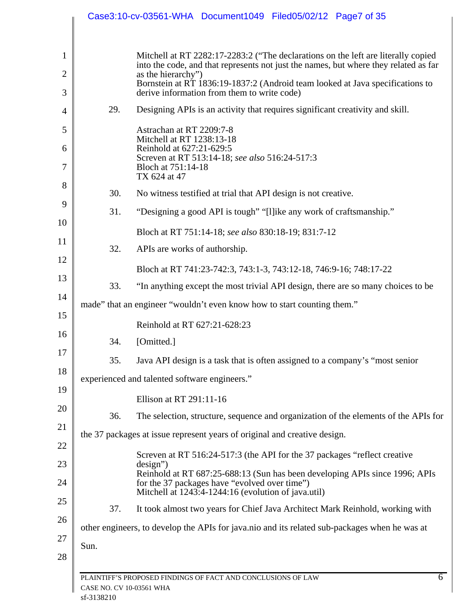|      |     | Case3:10-cv-03561-WHA Document1049 Filed05/02/12 Page7 of 35                                                                                                                                                                                                                     |
|------|-----|----------------------------------------------------------------------------------------------------------------------------------------------------------------------------------------------------------------------------------------------------------------------------------|
|      |     | Mitchell at RT 2282:17-2283:2 ("The declarations on the left are literally copied<br>into the code, and that represents not just the names, but where they related as far                                                                                                        |
|      |     | as the hierarchy")<br>Bornstein at RT 1836:19-1837:2 (Android team looked at Java specifications to<br>derive information from them to write code)                                                                                                                               |
|      | 29. | Designing APIs is an activity that requires significant creativity and skill.                                                                                                                                                                                                    |
|      |     | Astrachan at RT 2209:7-8                                                                                                                                                                                                                                                         |
|      |     | Mitchell at RT 1238:13-18<br>Reinhold at 627:21-629:5<br>Screven at RT 513:14-18; see also 516:24-517:3                                                                                                                                                                          |
|      |     | Bloch at 751:14-18<br>TX 624 at 47                                                                                                                                                                                                                                               |
|      | 30. | No witness testified at trial that API design is not creative.                                                                                                                                                                                                                   |
|      | 31. | "Designing a good API is tough" "[I] ike any work of craftsmanship."                                                                                                                                                                                                             |
|      |     | Bloch at RT 751:14-18; see also 830:18-19; 831:7-12                                                                                                                                                                                                                              |
|      | 32. | APIs are works of authorship.                                                                                                                                                                                                                                                    |
|      |     | Bloch at RT 741:23-742:3, 743:1-3, 743:12-18, 746:9-16; 748:17-22                                                                                                                                                                                                                |
|      | 33. | "In anything except the most trivial API design, there are so many choices to be                                                                                                                                                                                                 |
|      |     | made" that an engineer "wouldn't even know how to start counting them."                                                                                                                                                                                                          |
|      |     | Reinhold at RT 627:21-628:23                                                                                                                                                                                                                                                     |
|      | 34. | [Omitted.]                                                                                                                                                                                                                                                                       |
|      | 35. | Java API design is a task that is often assigned to a company's "most senior                                                                                                                                                                                                     |
|      |     | experienced and talented software engineers."                                                                                                                                                                                                                                    |
|      |     | Ellison at RT 291:11-16                                                                                                                                                                                                                                                          |
|      | 36. | The selection, structure, sequence and organization of the elements of the APIs for                                                                                                                                                                                              |
|      |     | the 37 packages at issue represent years of original and creative design.                                                                                                                                                                                                        |
|      |     | Screven at RT 516:24-517:3 (the API for the 37 packages "reflect creative"<br>$design$ ")<br>Reinhold at RT 687:25-688:13 (Sun has been developing APIs since 1996; APIs<br>for the 37 packages have "evolved over time")<br>Mitchell at 1243:4-1244:16 (evolution of java.util) |
|      | 37. | It took almost two years for Chief Java Architect Mark Reinhold, working with                                                                                                                                                                                                    |
|      |     | other engineers, to develop the APIs for java.nio and its related sub-packages when he was at                                                                                                                                                                                    |
| Sun. |     |                                                                                                                                                                                                                                                                                  |
|      |     |                                                                                                                                                                                                                                                                                  |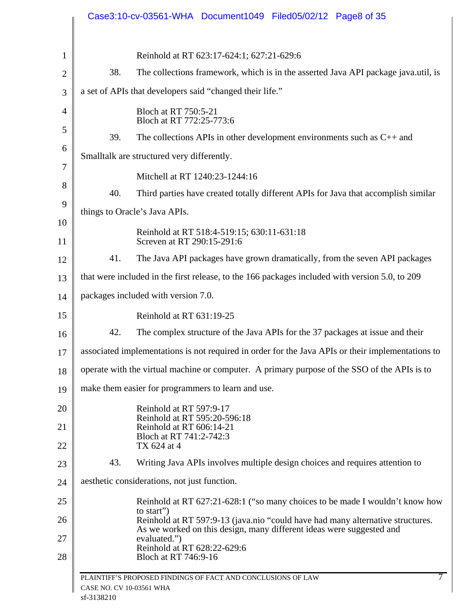|                |                          | Case3:10-cv-03561-WHA Document1049 Filed05/02/12 Page8 of 35                                                                                           |
|----------------|--------------------------|--------------------------------------------------------------------------------------------------------------------------------------------------------|
|                |                          |                                                                                                                                                        |
| $\mathbf{1}$   |                          | Reinhold at RT 623:17-624:1; 627:21-629:6                                                                                                              |
| $\overline{2}$ | 38.                      | The collections framework, which is in the asserted Java API package java.util, is                                                                     |
| 3              |                          | a set of APIs that developers said "changed their life."                                                                                               |
| 4              |                          | Bloch at RT 750:5-21<br>Bloch at RT 772:25-773:6                                                                                                       |
| 5              | 39.                      | The collections APIs in other development environments such as $C_{++}$ and                                                                            |
| 6              |                          | Smalltalk are structured very differently.                                                                                                             |
| 7              |                          | Mitchell at RT 1240:23-1244:16                                                                                                                         |
| 8              | 40.                      | Third parties have created totally different APIs for Java that accomplish similar                                                                     |
| 9              |                          | things to Oracle's Java APIs.                                                                                                                          |
| 10<br>11       |                          | Reinhold at RT 518:4-519:15; 630:11-631:18<br>Screven at RT 290:15-291:6                                                                               |
| 12             | 41.                      | The Java API packages have grown dramatically, from the seven API packages                                                                             |
| 13             |                          | that were included in the first release, to the 166 packages included with version 5.0, to 209                                                         |
| 14             |                          | packages included with version 7.0.                                                                                                                    |
| 15             |                          | Reinhold at RT 631:19-25                                                                                                                               |
| 16             | 42.                      | The complex structure of the Java APIs for the 37 packages at issue and their                                                                          |
| 17             |                          | associated implementations is not required in order for the Java APIs or their implementations to                                                      |
| 18             |                          | operate with the virtual machine or computer. A primary purpose of the SSO of the APIs is to                                                           |
| 19             |                          | make them easier for programmers to learn and use.                                                                                                     |
| 20             |                          | Reinhold at RT 597:9-17<br>Reinhold at RT 595:20-596:18                                                                                                |
| 21             |                          | Reinhold at RT 606:14-21<br>Bloch at RT 741:2-742:3                                                                                                    |
| 22             |                          | TX 624 at 4                                                                                                                                            |
| 23             | 43.                      | Writing Java APIs involves multiple design choices and requires attention to                                                                           |
| 24             |                          | aesthetic considerations, not just function.                                                                                                           |
| 25             |                          | Reinhold at RT 627:21-628:1 ("so many choices to be made I wouldn't know how<br>to start")                                                             |
| 26             |                          | Reinhold at RT 597:9-13 (java.nio "could have had many alternative structures.<br>As we worked on this design, many different ideas were suggested and |
| 27             |                          | evaluated.")<br>Reinhold at RT 628:22-629:6                                                                                                            |
| 28             |                          | Bloch at RT 746:9-16                                                                                                                                   |
|                | CASE NO. CV 10-03561 WHA | PLAINTIFF'S PROPOSED FINDINGS OF FACT AND CONCLUSIONS OF LAW                                                                                           |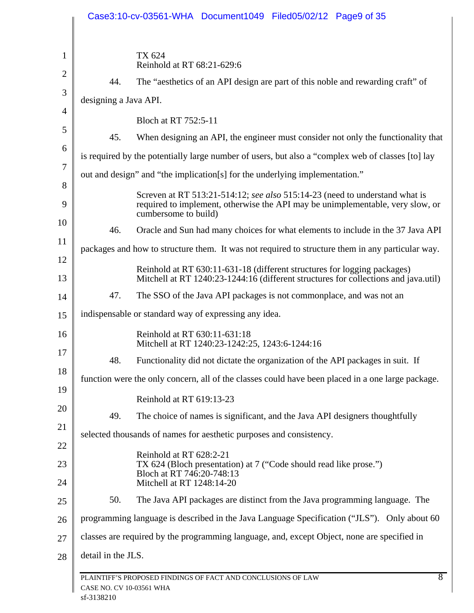|                     |                          | Case3:10-cv-03561-WHA Document1049 Filed05/02/12 Page9 of 35                                                                                                                          |
|---------------------|--------------------------|---------------------------------------------------------------------------------------------------------------------------------------------------------------------------------------|
| 1<br>$\overline{2}$ |                          | TX 624<br>Reinhold at RT 68:21-629:6                                                                                                                                                  |
|                     | 44.                      | The "aesthetics of an API design are part of this noble and rewarding craft" of                                                                                                       |
| 3<br>$\overline{4}$ | designing a Java API.    |                                                                                                                                                                                       |
|                     |                          | Bloch at RT 752:5-11                                                                                                                                                                  |
| 5                   | 45.                      | When designing an API, the engineer must consider not only the functionality that                                                                                                     |
| 6<br>7              |                          | is required by the potentially large number of users, but also a "complex web of classes [to] lay                                                                                     |
| 8                   |                          | out and design" and "the implication[s] for the underlying implementation."                                                                                                           |
| 9                   |                          | Screven at RT 513:21-514:12; see also 515:14-23 (need to understand what is<br>required to implement, otherwise the API may be unimplementable, very slow, or<br>cumbersome to build) |
| 10                  | 46.                      | Oracle and Sun had many choices for what elements to include in the 37 Java API                                                                                                       |
| 11                  |                          | packages and how to structure them. It was not required to structure them in any particular way.                                                                                      |
| 12<br>13            |                          | Reinhold at RT 630:11-631-18 (different structures for logging packages)<br>Mitchell at RT 1240:23-1244:16 (different structures for collections and java.util)                       |
| 14                  | 47.                      | The SSO of the Java API packages is not commonplace, and was not an                                                                                                                   |
| 15                  |                          | indispensable or standard way of expressing any idea.                                                                                                                                 |
| 16                  |                          | Reinhold at RT 630:11-631:18<br>Mitchell at RT 1240:23-1242:25, 1243:6-1244:16                                                                                                        |
| 17                  | 48.                      | Functionality did not dictate the organization of the API packages in suit. If                                                                                                        |
| 18                  |                          | function were the only concern, all of the classes could have been placed in a one large package.                                                                                     |
| 19                  |                          | Reinhold at RT 619:13-23                                                                                                                                                              |
| 20                  | 49.                      | The choice of names is significant, and the Java API designers thoughtfully                                                                                                           |
| 21                  |                          | selected thousands of names for aesthetic purposes and consistency.                                                                                                                   |
| 22                  |                          | Reinhold at RT 628:2-21                                                                                                                                                               |
| 23<br>24            |                          | TX 624 (Bloch presentation) at 7 ("Code should read like prose.")<br>Bloch at RT 746:20-748:13<br>Mitchell at RT 1248:14-20                                                           |
| 25                  | 50.                      | The Java API packages are distinct from the Java programming language. The                                                                                                            |
| 26                  |                          | programming language is described in the Java Language Specification ("JLS"). Only about 60                                                                                           |
| 27                  |                          | classes are required by the programming language, and, except Object, none are specified in                                                                                           |
| 28                  | detail in the JLS.       |                                                                                                                                                                                       |
|                     | CASE NO. CV 10-03561 WHA | $\overline{8}$<br>PLAINTIFF'S PROPOSED FINDINGS OF FACT AND CONCLUSIONS OF LAW                                                                                                        |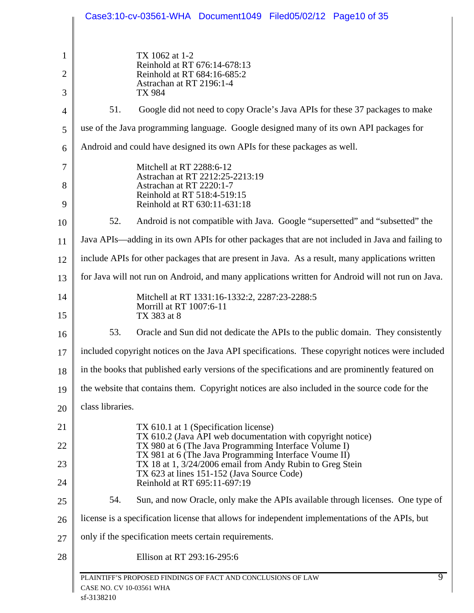|                                |                          | Case3:10-cv-03561-WHA Document1049 Filed05/02/12 Page10 of 35                                                                                          |
|--------------------------------|--------------------------|--------------------------------------------------------------------------------------------------------------------------------------------------------|
| $\mathbf{1}$<br>$\overline{2}$ |                          | TX 1062 at 1-2<br>Reinhold at RT 676:14-678:13<br>Reinhold at RT 684:16-685:2                                                                          |
| 3                              |                          | Astrachan at RT 2196:1-4<br>TX 984                                                                                                                     |
| 4                              | 51.                      | Google did not need to copy Oracle's Java APIs for these 37 packages to make                                                                           |
| 5                              |                          | use of the Java programming language. Google designed many of its own API packages for                                                                 |
| 6                              |                          | Android and could have designed its own APIs for these packages as well.                                                                               |
| 7<br>8<br>9                    |                          | Mitchell at RT 2288:6-12<br>Astrachan at RT 2212:25-2213:19<br>Astrachan at RT 2220:1-7<br>Reinhold at RT 518:4-519:15<br>Reinhold at RT 630:11-631:18 |
| 10                             | 52.                      | Android is not compatible with Java. Google "supersetted" and "subsetted" the                                                                          |
| 11                             |                          | Java APIs—adding in its own APIs for other packages that are not included in Java and failing to                                                       |
| 12                             |                          | include APIs for other packages that are present in Java. As a result, many applications written                                                       |
| 13                             |                          | for Java will not run on Android, and many applications written for Android will not run on Java.                                                      |
| 14<br>15                       |                          | Mitchell at RT 1331:16-1332:2, 2287:23-2288:5<br>Morrill at RT 1007:6-11<br>TX 383 at 8                                                                |
| 16                             | 53.                      | Oracle and Sun did not dedicate the APIs to the public domain. They consistently                                                                       |
| 17                             |                          | included copyright notices on the Java API specifications. These copyright notices were included                                                       |
| 18                             |                          | in the books that published early versions of the specifications and are prominently featured on                                                       |
| 19                             |                          | the website that contains them. Copyright notices are also included in the source code for the                                                         |
| 20                             | class libraries.         |                                                                                                                                                        |
| 21                             |                          | TX 610.1 at 1 (Specification license)<br>TX 610.2 (Java API web documentation with copyright notice)                                                   |
| 22                             |                          | TX 980 at 6 (The Java Programming Interface Volume I)<br>TX 981 at 6 (The Java Programming Interface Voume II)                                         |
| 23<br>24                       |                          | TX 18 at 1, 3/24/2006 email from Andy Rubin to Greg Stein<br>TX 623 at lines 151-152 (Java Source Code)<br>Reinhold at RT 695:11-697:19                |
| 25                             | 54.                      | Sun, and now Oracle, only make the APIs available through licenses. One type of                                                                        |
| 26                             |                          | license is a specification license that allows for independent implementations of the APIs, but                                                        |
| 27                             |                          | only if the specification meets certain requirements.                                                                                                  |
| 28                             |                          | Ellison at RT 293:16-295:6                                                                                                                             |
|                                | CASE NO. CV 10-03561 WHA | $\overline{9}$<br>PLAINTIFF'S PROPOSED FINDINGS OF FACT AND CONCLUSIONS OF LAW                                                                         |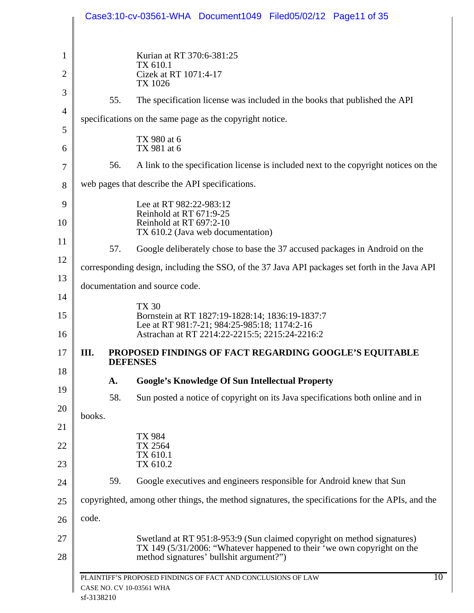|                |        |     | Case3:10-cv-03561-WHA Document1049 Filed05/02/12 Page11 of 35                                                                                      |
|----------------|--------|-----|----------------------------------------------------------------------------------------------------------------------------------------------------|
| 1              |        |     | Kurian at RT 370:6-381:25                                                                                                                          |
| 2              |        |     | TX 610.1<br>Cizek at RT 1071:4-17                                                                                                                  |
| 3              |        | 55. | TX 1026<br>The specification license was included in the books that published the API                                                              |
| $\overline{4}$ |        |     | specifications on the same page as the copyright notice.                                                                                           |
| 5              |        |     | TX 980 at 6                                                                                                                                        |
| 6              |        |     | TX 981 at 6                                                                                                                                        |
| 7              |        | 56. | A link to the specification license is included next to the copyright notices on the                                                               |
| 8              |        |     | web pages that describe the API specifications.                                                                                                    |
| 9              |        |     | Lee at RT 982:22-983:12<br>Reinhold at RT 671:9-25                                                                                                 |
| 10             |        |     | Reinhold at RT 697:2-10<br>TX 610.2 (Java web documentation)                                                                                       |
| 11<br>12       |        | 57. | Google deliberately chose to base the 37 accused packages in Android on the                                                                        |
| 13             |        |     | corresponding design, including the SSO, of the 37 Java API packages set forth in the Java API                                                     |
| 14             |        |     | documentation and source code.                                                                                                                     |
| 15             |        |     | <b>TX 30</b><br>Bornstein at RT 1827:19-1828:14; 1836:19-1837:7                                                                                    |
| 16             |        |     | Lee at RT 981:7-21; 984:25-985:18; 1174:2-16<br>Astrachan at RT 2214:22-2215:5; 2215:24-2216:2                                                     |
| 17             | III.   |     | PROPOSED FINDINGS OF FACT REGARDING GOOGLE'S EQUITABLE<br><b>DEFENSES</b>                                                                          |
| 18             |        | A.  | <b>Google's Knowledge Of Sun Intellectual Property</b>                                                                                             |
| 19             |        | 58. | Sun posted a notice of copyright on its Java specifications both online and in                                                                     |
| 20<br>21       | books. |     |                                                                                                                                                    |
| 22             |        |     | TX 984<br>TX 2564                                                                                                                                  |
| 23             |        |     | TX 610.1<br>TX 610.2                                                                                                                               |
| 24             |        | 59. | Google executives and engineers responsible for Android knew that Sun                                                                              |
| 25             |        |     | copyrighted, among other things, the method signatures, the specifications for the APIs, and the                                                   |
| 26             | code.  |     |                                                                                                                                                    |
| 27             |        |     | Swetland at RT 951:8-953:9 (Sun claimed copyright on method signatures)<br>TX 149 (5/31/2006: "Whatever happened to their 'we own copyright on the |
| 28             |        |     | method signatures' bullshit argument?")                                                                                                            |
|                |        |     | 10<br>PLAINTIFF'S PROPOSED FINDINGS OF FACT AND CONCLUSIONS OF LAW<br>CASE NO. CV 10-03561 WHA                                                     |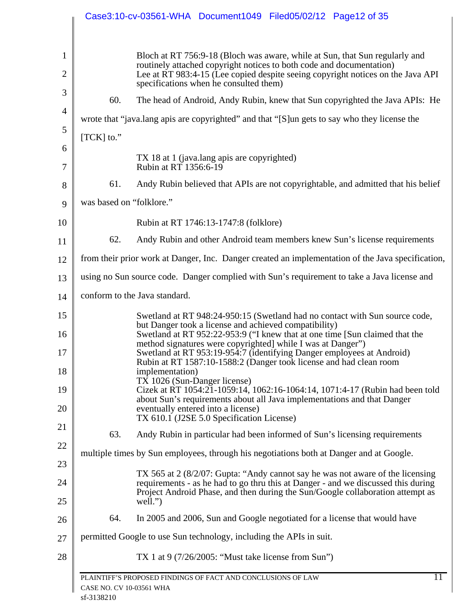|                                |                          | Case3:10-cv-03561-WHA Document1049 Filed05/02/12 Page12 of 35                                                                                                                                                                                                                    |
|--------------------------------|--------------------------|----------------------------------------------------------------------------------------------------------------------------------------------------------------------------------------------------------------------------------------------------------------------------------|
| $\mathbf{1}$<br>$\overline{2}$ |                          | Bloch at RT 756:9-18 (Bloch was aware, while at Sun, that Sun regularly and<br>routinely attached copyright notices to both code and documentation)<br>Lee at RT 983:4-15 (Lee copied despite seeing copyright notices on the Java API<br>specifications when he consulted them) |
| 3                              | 60.                      | The head of Android, Andy Rubin, knew that Sun copyrighted the Java APIs: He                                                                                                                                                                                                     |
| 4                              |                          | wrote that "java.lang apis are copyrighted" and that "[S] un gets to say who they license the                                                                                                                                                                                    |
| 5                              | $[TCK]$ to."             |                                                                                                                                                                                                                                                                                  |
| 6<br>7                         |                          | TX 18 at 1 (java.lang apis are copyrighted)<br>Rubin at RT 1356:6-19                                                                                                                                                                                                             |
| 8                              | 61.                      | Andy Rubin believed that APIs are not copyrightable, and admitted that his belief                                                                                                                                                                                                |
|                                | was based on "folklore." |                                                                                                                                                                                                                                                                                  |
| 9<br>10                        |                          | Rubin at RT 1746:13-1747:8 (folklore)                                                                                                                                                                                                                                            |
| 11                             | 62.                      | Andy Rubin and other Android team members knew Sun's license requirements                                                                                                                                                                                                        |
| 12                             |                          | from their prior work at Danger, Inc. Danger created an implementation of the Java specification,                                                                                                                                                                                |
| 13                             |                          | using no Sun source code. Danger complied with Sun's requirement to take a Java license and                                                                                                                                                                                      |
| 14                             |                          | conform to the Java standard.                                                                                                                                                                                                                                                    |
| 15                             |                          | Swetland at RT 948:24-950:15 (Swetland had no contact with Sun source code,                                                                                                                                                                                                      |
| 16                             |                          | but Danger took a license and achieved compatibility)<br>Swetland at RT 952:22-953:9 ("I knew that at one time [Sun claimed that the<br>method signatures were copyrighted] while I was at Danger")                                                                              |
|                                |                          | Swetland at RT 953:19-954:7 (identifying Danger employees at Android)<br>Rubin at RT 1587:10-1588:2 (Danger took license and had clean room<br>implementation)                                                                                                                   |
| 19                             |                          | TX 1026 (Sun-Danger license)<br>Cizek at RT 1054:21-1059:14, 1062:16-1064:14, 1071:4-17 (Rubin had been told                                                                                                                                                                     |
| 20                             |                          | about Sun's requirements about all Java implementations and that Danger<br>eventually entered into a license)<br>TX 610.1 (J2SE 5.0 Specification License)                                                                                                                       |
|                                | 63.                      | Andy Rubin in particular had been informed of Sun's licensing requirements                                                                                                                                                                                                       |
| 22                             |                          | multiple times by Sun employees, through his negotiations both at Danger and at Google.                                                                                                                                                                                          |
| 23                             |                          | TX 565 at 2 (8/2/07: Gupta: "Andy cannot say he was not aware of the licensing<br>requirements - as he had to go thru this at Danger - and we discussed this during                                                                                                              |
| 24<br>25                       |                          | Project Android Phase, and then during the Sun/Google collaboration attempt as<br>well.")                                                                                                                                                                                        |
| 26                             | 64.                      | In 2005 and 2006, Sun and Google negotiated for a license that would have                                                                                                                                                                                                        |
|                                |                          | permitted Google to use Sun technology, including the APIs in suit.                                                                                                                                                                                                              |
| 28                             |                          | TX 1 at 9 $(7/26/2005)$ : "Must take license from Sun")                                                                                                                                                                                                                          |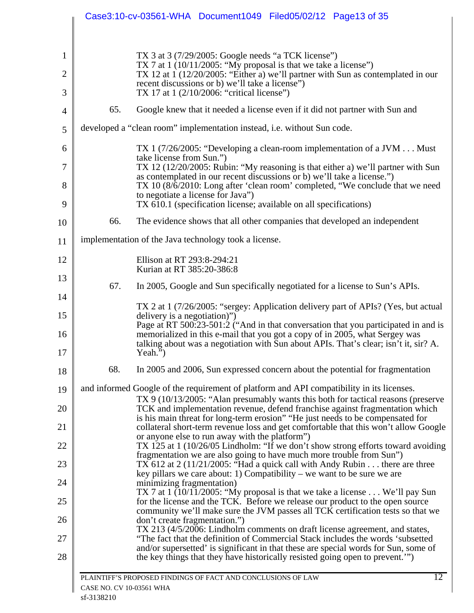|                     |                          | Case3:10-cv-03561-WHA Document1049 Filed05/02/12 Page13 of 35                                                                                                                                                                                                        |
|---------------------|--------------------------|----------------------------------------------------------------------------------------------------------------------------------------------------------------------------------------------------------------------------------------------------------------------|
| 1<br>$\overline{2}$ |                          | TX 3 at $3(7/29/2005$ : Google needs "a TCK license")<br>TX 7 at $1 \left( \frac{10}{112005} \right)$ "My proposal is that we take a license")<br>TX 12 at 1 (12/20/2005: "Either a) we'll partner with Sun as contemplated in our                                   |
| 3                   |                          | recent discussions or b) we'll take a license"<br>TX 17 at 1 (2/10/2006: "critical license")                                                                                                                                                                         |
| $\overline{4}$      | 65.                      | Google knew that it needed a license even if it did not partner with Sun and                                                                                                                                                                                         |
| 5                   |                          | developed a "clean room" implementation instead, i.e. without Sun code.                                                                                                                                                                                              |
| 6                   |                          | TX 1 (7/26/2005: "Developing a clean-room implementation of a JVM Must<br>take license from Sun.")                                                                                                                                                                   |
| $\overline{7}$      |                          | TX 12 (12/20/2005: Rubin: "My reasoning is that either a) we'll partner with Sun<br>as contemplated in our recent discussions or b) we'll take a license."                                                                                                           |
| 8<br>9              |                          | TX 10 (8/6/2010: Long after 'clean room' completed, "We conclude that we need<br>to negotiate a license for Java")<br>TX 610.1 (specification license; available on all specifications)                                                                              |
| 10                  | 66.                      | The evidence shows that all other companies that developed an independent                                                                                                                                                                                            |
| 11                  |                          | implementation of the Java technology took a license.                                                                                                                                                                                                                |
| 12                  |                          | Ellison at RT 293:8-294:21                                                                                                                                                                                                                                           |
| 13                  |                          | Kurian at RT 385:20-386:8                                                                                                                                                                                                                                            |
| 14                  | 67.                      | In 2005, Google and Sun specifically negotiated for a license to Sun's APIs.                                                                                                                                                                                         |
| 15                  |                          | TX 2 at 1 (7/26/2005: "sergey: Application delivery part of APIs? (Yes, but actual<br>delivery is a negotiation)")                                                                                                                                                   |
| 16<br>17            |                          | Page at RT 500:23-501:2 ("And in that conversation that you participated in and is<br>memorialized in this e-mail that you got a copy of in 2005, what Sergey was<br>talking about was a negotiation with Sun about APIs. That's clear; isn't it, sir? A.<br>Yeah.") |
| 18                  | 68.                      | In 2005 and 2006, Sun expressed concern about the potential for fragmentation                                                                                                                                                                                        |
| 19                  |                          | and informed Google of the requirement of platform and API compatibility in its licenses.                                                                                                                                                                            |
| 20                  |                          | TX 9 (10/13/2005: "Alan presumably wants this both for tactical reasons (preserve<br>TCK and implementation revenue, defend franchise against fragmentation which<br>is his main threat for long-term erosion" "He just needs to be compensated for                  |
| 21                  |                          | collateral short-term revenue loss and get comfortable that this won't allow Google<br>or anyone else to run away with the platform")                                                                                                                                |
| 22                  |                          | TX 125 at 1 (10/26/05 Lindholm: "If we don't show strong efforts toward avoiding<br>fragmentation we are also going to have much more trouble from Sun")                                                                                                             |
| 23                  |                          | TX 612 at $2(11/21/2005)$ : "Had a quick call with Andy Rubin there are three<br>key pillars we care about: 1) Compatibility – we want to be sure we are                                                                                                             |
| 24                  |                          | minimizing fragmentation)<br>TX 7 at $1 \frac{10}{112005}$ : "My proposal is that we take a license  We'll pay Sun                                                                                                                                                   |
| 25                  |                          | for the license and the TCK. Before we release our product to the open source<br>community we'll make sure the JVM passes all TCK certification tests so that we                                                                                                     |
| 26                  |                          | don't create fragmentation.")<br>TX 213 (4/5/2006: Lindholm comments on draft license agreement, and states,<br>"The fact that the definition of Commercial Stack includes the words 'subsetted                                                                      |
| 27<br>28            |                          | and/or supersetted' is significant in that these are special words for Sun, some of<br>the key things that they have historically resisted going open to prevent."                                                                                                   |
|                     | CASE NO. CV 10-03561 WHA | 12<br>PLAINTIFF'S PROPOSED FINDINGS OF FACT AND CONCLUSIONS OF LAW                                                                                                                                                                                                   |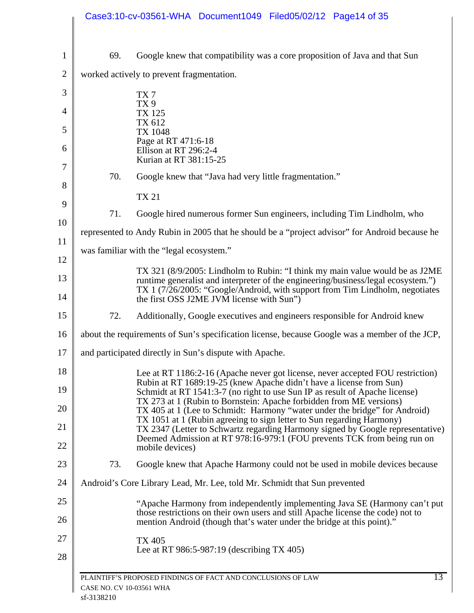|                |                          | Case3:10-cv-03561-WHA Document1049 Filed05/02/12 Page14 of 35                                                                                                                                                              |
|----------------|--------------------------|----------------------------------------------------------------------------------------------------------------------------------------------------------------------------------------------------------------------------|
| $\mathbf{1}$   | 69.                      | Google knew that compatibility was a core proposition of Java and that Sun                                                                                                                                                 |
| $\overline{2}$ |                          | worked actively to prevent fragmentation.                                                                                                                                                                                  |
| 3              |                          | TX <sub>7</sub>                                                                                                                                                                                                            |
| $\overline{4}$ |                          | TX <sub>9</sub><br><b>TX 125</b>                                                                                                                                                                                           |
| 5              |                          | TX 612<br>TX 1048                                                                                                                                                                                                          |
| 6              |                          | Page at RT 471:6-18<br>Ellison at RT 296:2-4<br>Kurian at RT 381:15-25                                                                                                                                                     |
| 7              | 70.                      | Google knew that "Java had very little fragmentation."                                                                                                                                                                     |
| 8              |                          | <b>TX 21</b>                                                                                                                                                                                                               |
| 9              | 71.                      | Google hired numerous former Sun engineers, including Tim Lindholm, who                                                                                                                                                    |
| 10             |                          | represented to Andy Rubin in 2005 that he should be a "project advisor" for Android because he                                                                                                                             |
| 11             |                          | was familiar with the "legal ecosystem."                                                                                                                                                                                   |
| 12             |                          | TX 321 (8/9/2005: Lindholm to Rubin: "I think my main value would be as J2ME                                                                                                                                               |
| 13<br>14       |                          | runtime generalist and interpreter of the engineering/business/legal ecosystem.")<br>TX 1 (7/26/2005: "Google/Android, with support from Tim Lindholm, negotiates<br>the first OSS J2ME JVM license with Sun")             |
| 15             | 72.                      | Additionally, Google executives and engineers responsible for Android knew                                                                                                                                                 |
| 16             |                          | about the requirements of Sun's specification license, because Google was a member of the JCP,                                                                                                                             |
| 17             |                          | and participated directly in Sun's dispute with Apache.                                                                                                                                                                    |
| 18             |                          | Lee at RT 1186:2-16 (Apache never got license, never accepted FOU restriction)                                                                                                                                             |
| 19             |                          | Rubin at RT 1689:19-25 (knew Apache didn't have a license from Sun)<br>Schmidt at RT 1541:3-7 (no right to use Sun IP as result of Apache license)                                                                         |
| 20             |                          | TX 273 at 1 (Rubin to Bornstein: Apache forbidden from ME versions)<br>TX 405 at 1 (Lee to Schmidt: Harmony "water under the bridge" for Android)<br>TX 1051 at 1 (Rubin agreeing to sign letter to Sun regarding Harmony) |
| 21<br>22       |                          | TX 2347 (Letter to Schwartz regarding Harmony signed by Google representative)<br>Deemed Admission at RT 978:16-979:1 (FOU prevents TCK from being run on<br>mobile devices)                                               |
| 23             | 73.                      | Google knew that Apache Harmony could not be used in mobile devices because                                                                                                                                                |
| 24             |                          | Android's Core Library Lead, Mr. Lee, told Mr. Schmidt that Sun prevented                                                                                                                                                  |
| 25             |                          | "Apache Harmony from independently implementing Java SE (Harmony can't put                                                                                                                                                 |
| 26             |                          | those restrictions on their own users and still Apache license the code) not to<br>mention Android (though that's water under the bridge at this point)."                                                                  |
| 27<br>28       |                          | TX 405<br>Lee at RT 986:5-987:19 (describing $TX$ 405)                                                                                                                                                                     |
|                | CASE NO. CV 10-03561 WHA | 13<br>PLAINTIFF'S PROPOSED FINDINGS OF FACT AND CONCLUSIONS OF LAW                                                                                                                                                         |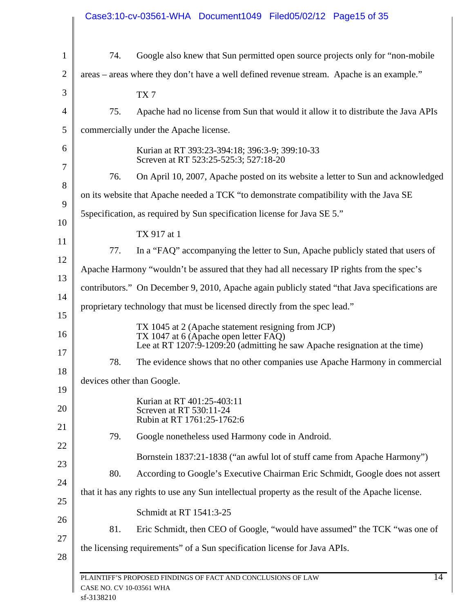| 74.                        | Google also knew that Sun permitted open source projects only for "non-mobile"                                      |
|----------------------------|---------------------------------------------------------------------------------------------------------------------|
|                            | areas – areas where they don't have a well defined revenue stream. Apache is an example."                           |
|                            | TX7                                                                                                                 |
| 75.                        | Apache had no license from Sun that would it allow it to distribute the Java APIs                                   |
|                            | commercially under the Apache license.                                                                              |
|                            | Kurian at RT 393:23-394:18; 396:3-9; 399:10-33<br>Screven at RT 523:25-525:3; 527:18-20                             |
| 76.                        | On April 10, 2007, Apache posted on its website a letter to Sun and acknowledged                                    |
|                            | on its website that Apache needed a TCK "to demonstrate compatibility with the Java SE                              |
|                            | 5 Specification, as required by Sun specification license for Java SE 5."                                           |
|                            | TX 917 at 1                                                                                                         |
| 77.                        | In a "FAQ" accompanying the letter to Sun, Apache publicly stated that users of                                     |
|                            | Apache Harmony "wouldn't be assured that they had all necessary IP rights from the spec's                           |
|                            | contributors." On December 9, 2010, Apache again publicly stated "that Java specifications are                      |
|                            | proprietary technology that must be licensed directly from the spec lead."                                          |
|                            | TX 1045 at 2 (Apache statement resigning from JCP)                                                                  |
|                            | TX 1047 at 6 (Apache open letter FAQ)<br>Lee at RT 1207:9-1209:20 (admitting he saw Apache resignation at the time) |
| 78.                        | The evidence shows that no other companies use Apache Harmony in commercial                                         |
| devices other than Google. |                                                                                                                     |
|                            | Kurian at RT 401:25-403:11<br>Screven at RT 530:11-24<br>Rubin at RT 1761:25-1762:6                                 |
| 79.                        | Google nonetheless used Harmony code in Android.                                                                    |
|                            | Bornstein 1837:21-1838 ("an awful lot of stuff came from Apache Harmony")                                           |
| 80.                        | According to Google's Executive Chairman Eric Schmidt, Google does not assert                                       |
|                            | that it has any rights to use any Sun intellectual property as the result of the Apache license.                    |
|                            | Schmidt at RT 1541:3-25                                                                                             |
| 81.                        | Eric Schmidt, then CEO of Google, "would have assumed" the TCK "was one of                                          |
|                            | the licensing requirements" of a Sun specification license for Java APIs.                                           |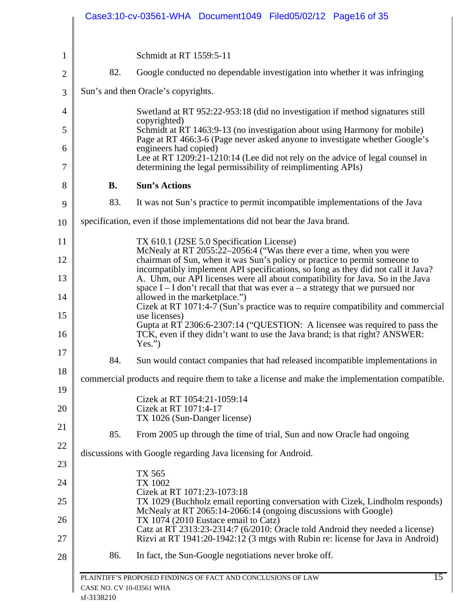|           | Case3:10-cv-03561-WHA Document1049 Filed05/02/12 Page16 of 35                                                                                                                                                                                            |
|-----------|----------------------------------------------------------------------------------------------------------------------------------------------------------------------------------------------------------------------------------------------------------|
|           | Schmidt at RT 1559:5-11                                                                                                                                                                                                                                  |
| 82.       | Google conducted no dependable investigation into whether it was infringing                                                                                                                                                                              |
|           |                                                                                                                                                                                                                                                          |
|           | Sun's and then Oracle's copyrights.                                                                                                                                                                                                                      |
|           | Swetland at RT 952:22-953:18 (did no investigation if method signatures still<br>copyrighted)                                                                                                                                                            |
|           | Schmidt at RT 1463:9-13 (no investigation about using Harmony for mobile)<br>Page at RT 466:3-6 (Page never asked anyone to investigate whether Google's                                                                                                 |
|           | engineers had copied)<br>Lee at RT 1209:21-1210:14 (Lee did not rely on the advice of legal counsel in<br>determining the legal permissibility of reimplimenting APIs)                                                                                   |
| <b>B.</b> | <b>Sun's Actions</b>                                                                                                                                                                                                                                     |
| 83.       | It was not Sun's practice to permit incompatible implementations of the Java                                                                                                                                                                             |
|           | specification, even if those implementations did not bear the Java brand.                                                                                                                                                                                |
|           | TX 610.1 (J2SE 5.0 Specification License)                                                                                                                                                                                                                |
|           | McNealy at RT 2055:22-2056:4 ("Was there ever a time, when you were<br>chairman of Sun, when it was Sun's policy or practice to permit someone to                                                                                                        |
|           | incompatibly implement API specifications, so long as they did not call it Java?<br>A. Uhm, our API licenses were all about compatibility for Java. So in the Java<br>space $I - I$ don't recall that that was ever $a - a$ strategy that we pursued nor |
|           | allowed in the marketplace.")<br>Cizek at RT 1071:4-7 (Sun's practice was to require compatibility and commercial                                                                                                                                        |
|           | use licenses)<br>Gupta at RT 2306:6-2307:14 ("QUESTION: A licensee was required to pass the<br>TCK, even if they didn't want to use the Java brand; is that right? ANSWER:                                                                               |
|           | Yes.'')                                                                                                                                                                                                                                                  |
| 84.       | Sun would contact companies that had released incompatible implementations in                                                                                                                                                                            |
|           | commercial products and require them to take a license and make the implementation compatible.                                                                                                                                                           |
|           | Cizek at RT 1054:21-1059:14<br>Cizek at RT 1071:4-17                                                                                                                                                                                                     |
|           | TX 1026 (Sun-Danger license)                                                                                                                                                                                                                             |
| 85.       | From 2005 up through the time of trial, Sun and now Oracle had ongoing                                                                                                                                                                                   |
|           | discussions with Google regarding Java licensing for Android.                                                                                                                                                                                            |
|           | TX 565<br>TX 1002                                                                                                                                                                                                                                        |
|           | Cizek at RT 1071:23-1073:18<br>TX 1029 (Buchholz email reporting conversation with Cizek, Lindholm responds)                                                                                                                                             |
|           | McNealy at RT 2065:14-2066:14 (ongoing discussions with Google)<br>TX 1074 (2010 Eustace email to Catz)                                                                                                                                                  |
|           | Catz at RT 2313:23-2314:7 (6/2010: Oracle told Android they needed a license)<br>Rizvi at RT 1941:20-1942:12 (3 mtgs with Rubin re: license for Java in Android)                                                                                         |
| 86.       | In fact, the Sun-Google negotiations never broke off.                                                                                                                                                                                                    |
|           |                                                                                                                                                                                                                                                          |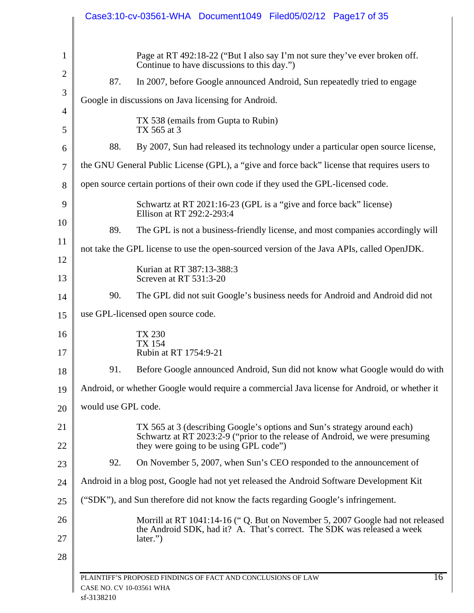|                          |                          | Case3:10-cv-03561-WHA Document1049 Filed05/02/12 Page17 of 35                                                                                                                                          |
|--------------------------|--------------------------|--------------------------------------------------------------------------------------------------------------------------------------------------------------------------------------------------------|
| 1<br>$\overline{2}$<br>3 | 87.                      | Page at RT 492:18-22 ("But I also say I'm not sure they've ever broken off.<br>Continue to have discussions to this day.")<br>In 2007, before Google announced Android, Sun repeatedly tried to engage |
| $\overline{4}$           |                          | Google in discussions on Java licensing for Android.                                                                                                                                                   |
| 5                        |                          | TX 538 (emails from Gupta to Rubin)<br>TX 565 at 3                                                                                                                                                     |
| 6                        | 88.                      | By 2007, Sun had released its technology under a particular open source license,                                                                                                                       |
| 7                        |                          | the GNU General Public License (GPL), a "give and force back" license that requires users to                                                                                                           |
| 8                        |                          | open source certain portions of their own code if they used the GPL-licensed code.                                                                                                                     |
| 9                        |                          | Schwartz at RT 2021:16-23 (GPL is a "give and force back" license)<br>Ellison at RT 292:2-293:4                                                                                                        |
| 10                       | 89.                      | The GPL is not a business-friendly license, and most companies accordingly will                                                                                                                        |
| 11                       |                          | not take the GPL license to use the open-sourced version of the Java APIs, called OpenJDK.                                                                                                             |
| 12<br>13                 |                          | Kurian at RT 387:13-388:3<br>Screven at RT 531:3-20                                                                                                                                                    |
| 14                       | 90.                      | The GPL did not suit Google's business needs for Android and Android did not                                                                                                                           |
| 15                       |                          | use GPL-licensed open source code.                                                                                                                                                                     |
| 16<br>$17\,$             |                          | TX 230<br><b>TX 154</b><br>Rubin at RT 1754:9-21                                                                                                                                                       |
| 18                       | 91.                      | Before Google announced Android, Sun did not know what Google would do with                                                                                                                            |
| 19                       |                          | Android, or whether Google would require a commercial Java license for Android, or whether it                                                                                                          |
| 20                       | would use GPL code.      |                                                                                                                                                                                                        |
| 21                       |                          | TX 565 at 3 (describing Google's options and Sun's strategy around each)                                                                                                                               |
| 22                       |                          | Schwartz at RT 2023:2-9 ("prior to the release of Android, we were presuming<br>they were going to be using GPL code")                                                                                 |
| 23                       | 92.                      | On November 5, 2007, when Sun's CEO responded to the announcement of                                                                                                                                   |
| 24                       |                          | Android in a blog post, Google had not yet released the Android Software Development Kit                                                                                                               |
| 25                       |                          | ("SDK"), and Sun therefore did not know the facts regarding Google's infringement.                                                                                                                     |
| 26<br>27<br>28           |                          | Morrill at RT 1041:14-16 ("Q. But on November 5, 2007 Google had not released<br>the Android SDK, had it? A. That's correct. The SDK was released a week<br>later.")                                   |
|                          | CASE NO. CV 10-03561 WHA | 16<br>PLAINTIFF'S PROPOSED FINDINGS OF FACT AND CONCLUSIONS OF LAW                                                                                                                                     |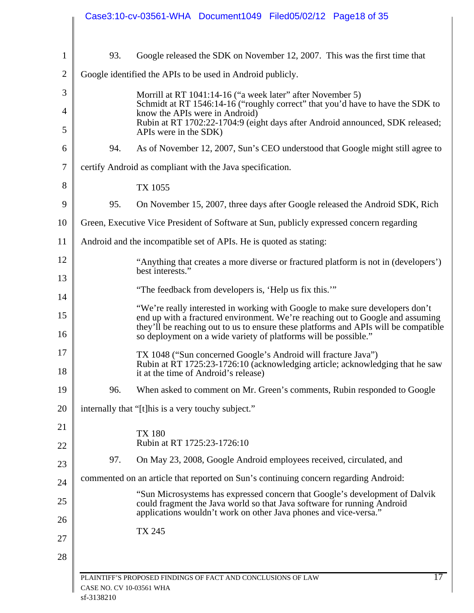| Google released the SDK on November 12, 2007. This was the first time that<br>93.<br>Google identified the APIs to be used in Android publicly.<br>Morrill at RT 1041:14-16 ("a week later" after November 5)<br>know the APIs were in Android)<br>APIs were in the SDK)<br>94.<br>certify Android as compliant with the Java specification.<br>TX 1055<br>95.<br>Green, Executive Vice President of Software at Sun, publicly expressed concern regarding<br>Android and the incompatible set of APIs. He is quoted as stating:<br>best interests."<br>"The feedback from developers is, 'Help us fix this.""<br>"We're really interested in working with Google to make sure developers don't<br>so deployment on a wide variety of platforms will be possible."<br>TX 1048 ("Sun concerned Google's Android will fracture Java")<br>it at the time of Android's release)<br>When asked to comment on Mr. Green's comments, Rubin responded to Google<br>96.<br>internally that "[t] his is a very touchy subject."<br><b>TX 180</b><br>Rubin at RT 1725:23-1726:10<br>97.<br>On May 23, 2008, Google Android employees received, circulated, and<br>commented on an article that reported on Sun's continuing concern regarding Android:<br>could fragment the Java world so that Java software for running Android<br>applications wouldn't work on other Java phones and vice-versa."<br>TX 245<br>PLAINTIFF'S PROPOSED FINDINGS OF FACT AND CONCLUSIONS OF LAW | Case3:10-cv-03561-WHA Document1049 Filed05/02/12 Page18 of 35                                                                                                         |
|----------------------------------------------------------------------------------------------------------------------------------------------------------------------------------------------------------------------------------------------------------------------------------------------------------------------------------------------------------------------------------------------------------------------------------------------------------------------------------------------------------------------------------------------------------------------------------------------------------------------------------------------------------------------------------------------------------------------------------------------------------------------------------------------------------------------------------------------------------------------------------------------------------------------------------------------------------------------------------------------------------------------------------------------------------------------------------------------------------------------------------------------------------------------------------------------------------------------------------------------------------------------------------------------------------------------------------------------------------------------------------------------------------------------------------------------------------------------|-----------------------------------------------------------------------------------------------------------------------------------------------------------------------|
|                                                                                                                                                                                                                                                                                                                                                                                                                                                                                                                                                                                                                                                                                                                                                                                                                                                                                                                                                                                                                                                                                                                                                                                                                                                                                                                                                                                                                                                                      |                                                                                                                                                                       |
|                                                                                                                                                                                                                                                                                                                                                                                                                                                                                                                                                                                                                                                                                                                                                                                                                                                                                                                                                                                                                                                                                                                                                                                                                                                                                                                                                                                                                                                                      |                                                                                                                                                                       |
|                                                                                                                                                                                                                                                                                                                                                                                                                                                                                                                                                                                                                                                                                                                                                                                                                                                                                                                                                                                                                                                                                                                                                                                                                                                                                                                                                                                                                                                                      |                                                                                                                                                                       |
|                                                                                                                                                                                                                                                                                                                                                                                                                                                                                                                                                                                                                                                                                                                                                                                                                                                                                                                                                                                                                                                                                                                                                                                                                                                                                                                                                                                                                                                                      | Schmidt at RT 1546:14-16 ("roughly correct" that you'd have to have the SDK to                                                                                        |
|                                                                                                                                                                                                                                                                                                                                                                                                                                                                                                                                                                                                                                                                                                                                                                                                                                                                                                                                                                                                                                                                                                                                                                                                                                                                                                                                                                                                                                                                      | Rubin at RT 1702:22-1704:9 (eight days after Android announced, SDK released;                                                                                         |
|                                                                                                                                                                                                                                                                                                                                                                                                                                                                                                                                                                                                                                                                                                                                                                                                                                                                                                                                                                                                                                                                                                                                                                                                                                                                                                                                                                                                                                                                      | As of November 12, 2007, Sun's CEO understood that Google might still agree to                                                                                        |
|                                                                                                                                                                                                                                                                                                                                                                                                                                                                                                                                                                                                                                                                                                                                                                                                                                                                                                                                                                                                                                                                                                                                                                                                                                                                                                                                                                                                                                                                      |                                                                                                                                                                       |
|                                                                                                                                                                                                                                                                                                                                                                                                                                                                                                                                                                                                                                                                                                                                                                                                                                                                                                                                                                                                                                                                                                                                                                                                                                                                                                                                                                                                                                                                      |                                                                                                                                                                       |
|                                                                                                                                                                                                                                                                                                                                                                                                                                                                                                                                                                                                                                                                                                                                                                                                                                                                                                                                                                                                                                                                                                                                                                                                                                                                                                                                                                                                                                                                      | On November 15, 2007, three days after Google released the Android SDK, Rich                                                                                          |
|                                                                                                                                                                                                                                                                                                                                                                                                                                                                                                                                                                                                                                                                                                                                                                                                                                                                                                                                                                                                                                                                                                                                                                                                                                                                                                                                                                                                                                                                      |                                                                                                                                                                       |
|                                                                                                                                                                                                                                                                                                                                                                                                                                                                                                                                                                                                                                                                                                                                                                                                                                                                                                                                                                                                                                                                                                                                                                                                                                                                                                                                                                                                                                                                      |                                                                                                                                                                       |
|                                                                                                                                                                                                                                                                                                                                                                                                                                                                                                                                                                                                                                                                                                                                                                                                                                                                                                                                                                                                                                                                                                                                                                                                                                                                                                                                                                                                                                                                      | "Anything that creates a more diverse or fractured platform is not in (developers')                                                                                   |
|                                                                                                                                                                                                                                                                                                                                                                                                                                                                                                                                                                                                                                                                                                                                                                                                                                                                                                                                                                                                                                                                                                                                                                                                                                                                                                                                                                                                                                                                      |                                                                                                                                                                       |
|                                                                                                                                                                                                                                                                                                                                                                                                                                                                                                                                                                                                                                                                                                                                                                                                                                                                                                                                                                                                                                                                                                                                                                                                                                                                                                                                                                                                                                                                      | end up with a fractured environment. We're reaching out to Google and assuming<br>they'll be reaching out to us to ensure these platforms and APIs will be compatible |
|                                                                                                                                                                                                                                                                                                                                                                                                                                                                                                                                                                                                                                                                                                                                                                                                                                                                                                                                                                                                                                                                                                                                                                                                                                                                                                                                                                                                                                                                      | Rubin at RT 1725:23-1726:10 (acknowledging article; acknowledging that he saw                                                                                         |
|                                                                                                                                                                                                                                                                                                                                                                                                                                                                                                                                                                                                                                                                                                                                                                                                                                                                                                                                                                                                                                                                                                                                                                                                                                                                                                                                                                                                                                                                      |                                                                                                                                                                       |
|                                                                                                                                                                                                                                                                                                                                                                                                                                                                                                                                                                                                                                                                                                                                                                                                                                                                                                                                                                                                                                                                                                                                                                                                                                                                                                                                                                                                                                                                      |                                                                                                                                                                       |
|                                                                                                                                                                                                                                                                                                                                                                                                                                                                                                                                                                                                                                                                                                                                                                                                                                                                                                                                                                                                                                                                                                                                                                                                                                                                                                                                                                                                                                                                      |                                                                                                                                                                       |
|                                                                                                                                                                                                                                                                                                                                                                                                                                                                                                                                                                                                                                                                                                                                                                                                                                                                                                                                                                                                                                                                                                                                                                                                                                                                                                                                                                                                                                                                      |                                                                                                                                                                       |
|                                                                                                                                                                                                                                                                                                                                                                                                                                                                                                                                                                                                                                                                                                                                                                                                                                                                                                                                                                                                                                                                                                                                                                                                                                                                                                                                                                                                                                                                      |                                                                                                                                                                       |
|                                                                                                                                                                                                                                                                                                                                                                                                                                                                                                                                                                                                                                                                                                                                                                                                                                                                                                                                                                                                                                                                                                                                                                                                                                                                                                                                                                                                                                                                      | "Sun Microsystems has expressed concern that Google's development of Dalvik                                                                                           |
|                                                                                                                                                                                                                                                                                                                                                                                                                                                                                                                                                                                                                                                                                                                                                                                                                                                                                                                                                                                                                                                                                                                                                                                                                                                                                                                                                                                                                                                                      |                                                                                                                                                                       |
|                                                                                                                                                                                                                                                                                                                                                                                                                                                                                                                                                                                                                                                                                                                                                                                                                                                                                                                                                                                                                                                                                                                                                                                                                                                                                                                                                                                                                                                                      | $\overline{17}$                                                                                                                                                       |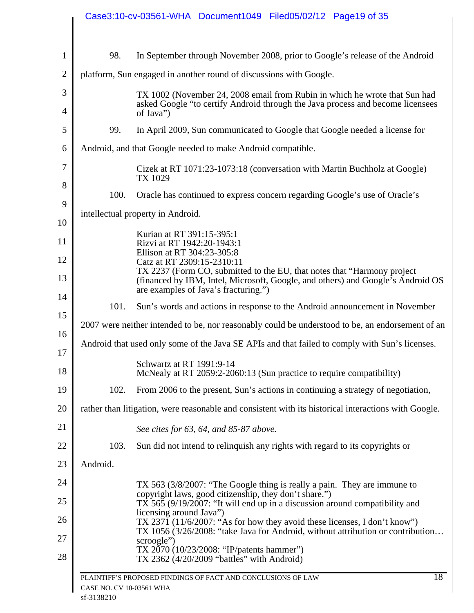|          | Case3:10-cv-03561-WHA Document1049 Filed05/02/12 Page19 of 35                                                                                                                             |
|----------|-------------------------------------------------------------------------------------------------------------------------------------------------------------------------------------------|
| 98.      | In September through November 2008, prior to Google's release of the Android                                                                                                              |
|          | platform, Sun engaged in another round of discussions with Google.                                                                                                                        |
|          | TX 1002 (November 24, 2008 email from Rubin in which he wrote that Sun had<br>asked Google "to certify Android through the Java process and become licensees<br>of Java")                 |
| 99.      | In April 2009, Sun communicated to Google that Google needed a license for                                                                                                                |
|          | Android, and that Google needed to make Android compatible.                                                                                                                               |
|          | Cizek at RT 1071:23-1073:18 (conversation with Martin Buchholz at Google)<br>TX 1029                                                                                                      |
| 100.     | Oracle has continued to express concern regarding Google's use of Oracle's                                                                                                                |
|          | intellectual property in Android.                                                                                                                                                         |
|          | Kurian at RT 391:15-395:1                                                                                                                                                                 |
|          | Rizvi at RT 1942:20-1943:1<br>Ellison at RT 304:23-305:8                                                                                                                                  |
|          | Catz at RT 2309:15-2310:11<br>TX 2237 (Form CO, submitted to the EU, that notes that "Harmony project"<br>(financed by IBM, Intel, Microsoft, Google, and others) and Google's Android OS |
|          | are examples of Java's fracturing.")                                                                                                                                                      |
| 101.     | Sun's words and actions in response to the Android announcement in November                                                                                                               |
|          | 2007 were neither intended to be, nor reasonably could be understood to be, an endorsement of an                                                                                          |
|          | Android that used only some of the Java SE APIs and that failed to comply with Sun's licenses.                                                                                            |
|          | Schwartz at RT 1991:9-14<br>McNealy at RT 2059:2-2060:13 (Sun practice to require compatibility)                                                                                          |
| 102.     | From 2006 to the present, Sun's actions in continuing a strategy of negotiation,                                                                                                          |
|          | rather than litigation, were reasonable and consistent with its historical interactions with Google.                                                                                      |
|          | See cites for 63, 64, and 85-87 above.                                                                                                                                                    |
| 103.     | Sun did not intend to relinquish any rights with regard to its copyrights or                                                                                                              |
| Android. |                                                                                                                                                                                           |
|          | TX 563 (3/8/2007: "The Google thing is really a pain. They are immune to                                                                                                                  |
|          | copyright laws, good citizenship, they don't share.")<br>$TX$ 565 (9/19/2007: "It will end up in a discussion around compatibility and<br>licensing around Java")                         |
|          | TX 2371 (11/6/2007: "As for how they avoid these licenses, I don't know")<br>TX 1056 (3/26/2008: "take Java for Android, without attribution or contribution                              |
|          | scroogle")<br>TX 2070 (10/23/2008: "IP/patents hammer")<br>TX 2362 (4/20/2009 "battles" with Android)                                                                                     |
|          | 18<br>PLAINTIFF'S PROPOSED FINDINGS OF FACT AND CONCLUSIONS OF LAW                                                                                                                        |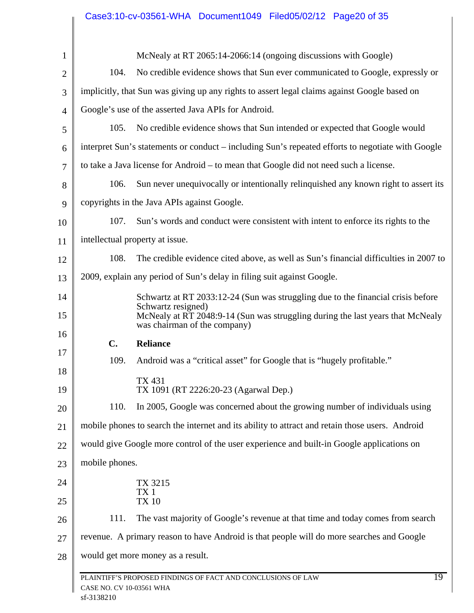|                     |                                                                                           | Case3:10-cv-03561-WHA Document1049 Filed05/02/12 Page20 of 35                                                                                    |                 |
|---------------------|-------------------------------------------------------------------------------------------|--------------------------------------------------------------------------------------------------------------------------------------------------|-----------------|
|                     |                                                                                           |                                                                                                                                                  |                 |
| $\mathbf{1}$        | 104.                                                                                      | McNealy at RT 2065:14-2066:14 (ongoing discussions with Google)<br>No credible evidence shows that Sun ever communicated to Google, expressly or |                 |
| $\overline{2}$<br>3 |                                                                                           | implicitly, that Sun was giving up any rights to assert legal claims against Google based on                                                     |                 |
|                     |                                                                                           | Google's use of the asserted Java APIs for Android.                                                                                              |                 |
| $\overline{4}$      | 105.                                                                                      | No credible evidence shows that Sun intended or expected that Google would                                                                       |                 |
| 5                   |                                                                                           | interpret Sun's statements or conduct – including Sun's repeated efforts to negotiate with Google                                                |                 |
| 6                   |                                                                                           |                                                                                                                                                  |                 |
| 7                   |                                                                                           | to take a Java license for Android – to mean that Google did not need such a license.                                                            |                 |
| 8                   | 106.                                                                                      | Sun never unequivocally or intentionally relinquished any known right to assert its                                                              |                 |
| 9                   |                                                                                           | copyrights in the Java APIs against Google.                                                                                                      |                 |
| 10                  | 107.                                                                                      | Sun's words and conduct were consistent with intent to enforce its rights to the                                                                 |                 |
| 11                  | intellectual property at issue.                                                           |                                                                                                                                                  |                 |
| 12                  | 108.                                                                                      | The credible evidence cited above, as well as Sun's financial difficulties in 2007 to                                                            |                 |
| 13                  |                                                                                           | 2009, explain any period of Sun's delay in filing suit against Google.                                                                           |                 |
| 14                  |                                                                                           | Schwartz at RT 2033:12-24 (Sun was struggling due to the financial crisis before<br>Schwartz resigned)                                           |                 |
| 15                  |                                                                                           | McNealy at RT 2048:9-14 (Sun was struggling during the last years that McNealy<br>was chairman of the company)                                   |                 |
| 16                  | $\mathbf{C}$ .                                                                            | <b>Reliance</b>                                                                                                                                  |                 |
| 17                  | 109.                                                                                      | Android was a "critical asset" for Google that is "hugely profitable."                                                                           |                 |
| 18<br>19            | <b>TX 431</b>                                                                             | TX 1091 (RT 2226:20-23 (Agarwal Dep.)                                                                                                            |                 |
| 20                  | 110.                                                                                      | In 2005, Google was concerned about the growing number of individuals using                                                                      |                 |
| 21                  |                                                                                           | mobile phones to search the internet and its ability to attract and retain those users. Android                                                  |                 |
| 22                  |                                                                                           | would give Google more control of the user experience and built-in Google applications on                                                        |                 |
| 23                  | mobile phones.                                                                            |                                                                                                                                                  |                 |
| 24                  |                                                                                           | TX 3215                                                                                                                                          |                 |
| 25                  | TX <sub>1</sub><br><b>TX 10</b>                                                           |                                                                                                                                                  |                 |
| 26                  | 111.                                                                                      | The vast majority of Google's revenue at that time and today comes from search                                                                   |                 |
| 27                  | revenue. A primary reason to have Android is that people will do more searches and Google |                                                                                                                                                  |                 |
| 28                  | would get more money as a result.                                                         |                                                                                                                                                  |                 |
|                     | CASE NO. CV 10-03561 WHA<br>sf-3138210                                                    | PLAINTIFF'S PROPOSED FINDINGS OF FACT AND CONCLUSIONS OF LAW                                                                                     | $\overline{19}$ |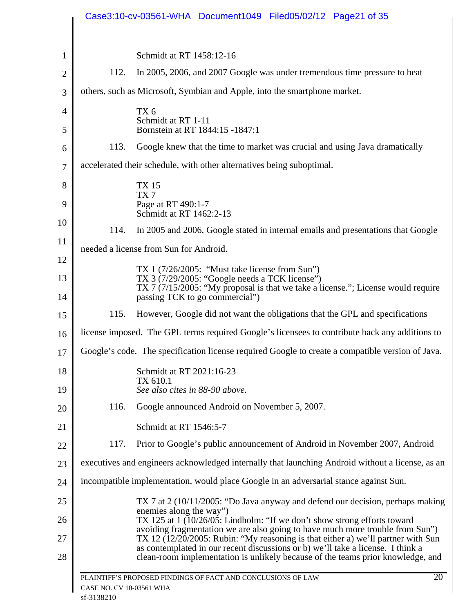|                                                                                       | Case3:10-cv-03561-WHA Document1049 Filed05/02/12 Page21 of 35                                                                                                                                                                                                                                                                           |
|---------------------------------------------------------------------------------------|-----------------------------------------------------------------------------------------------------------------------------------------------------------------------------------------------------------------------------------------------------------------------------------------------------------------------------------------|
|                                                                                       | Schmidt at RT 1458:12-16                                                                                                                                                                                                                                                                                                                |
| 112.                                                                                  | In 2005, 2006, and 2007 Google was under tremendous time pressure to beat                                                                                                                                                                                                                                                               |
|                                                                                       | others, such as Microsoft, Symbian and Apple, into the smartphone market.                                                                                                                                                                                                                                                               |
|                                                                                       | TX <sub>6</sub>                                                                                                                                                                                                                                                                                                                         |
|                                                                                       | Schmidt at RT 1-11<br>Bornstein at RT 1844:15 -1847:1                                                                                                                                                                                                                                                                                   |
| 113.                                                                                  | Google knew that the time to market was crucial and using Java dramatically                                                                                                                                                                                                                                                             |
|                                                                                       | accelerated their schedule, with other alternatives being suboptimal.                                                                                                                                                                                                                                                                   |
|                                                                                       | <b>TX15</b>                                                                                                                                                                                                                                                                                                                             |
|                                                                                       | TX7<br>Page at RT 490:1-7                                                                                                                                                                                                                                                                                                               |
|                                                                                       | Schmidt at RT 1462:2-13                                                                                                                                                                                                                                                                                                                 |
| 114.                                                                                  | In 2005 and 2006, Google stated in internal emails and presentations that Google                                                                                                                                                                                                                                                        |
|                                                                                       | needed a license from Sun for Android.                                                                                                                                                                                                                                                                                                  |
|                                                                                       | TX 1 $(7/26/2005)$ : "Must take license from Sun")<br>TX 3 $(7/29/2005$ : "Google needs a TCK license")                                                                                                                                                                                                                                 |
|                                                                                       | TX 7 (7/15/2005: "My proposal is that we take a license."; License would require<br>passing TCK to go commercial")                                                                                                                                                                                                                      |
| 115.                                                                                  | However, Google did not want the obligations that the GPL and specifications                                                                                                                                                                                                                                                            |
|                                                                                       | license imposed. The GPL terms required Google's licensees to contribute back any additions to                                                                                                                                                                                                                                          |
|                                                                                       | Google's code. The specification license required Google to create a compatible version of Java.                                                                                                                                                                                                                                        |
|                                                                                       | Schmidt at RT 2021:16-23                                                                                                                                                                                                                                                                                                                |
|                                                                                       | TX 610.1<br>See also cites in 88-90 above.                                                                                                                                                                                                                                                                                              |
| 116.                                                                                  | Google announced Android on November 5, 2007.                                                                                                                                                                                                                                                                                           |
|                                                                                       | Schmidt at RT 1546:5-7                                                                                                                                                                                                                                                                                                                  |
| 117.                                                                                  | Prior to Google's public announcement of Android in November 2007, Android                                                                                                                                                                                                                                                              |
|                                                                                       | executives and engineers acknowledged internally that launching Android without a license, as an                                                                                                                                                                                                                                        |
| incompatible implementation, would place Google in an adversarial stance against Sun. |                                                                                                                                                                                                                                                                                                                                         |
|                                                                                       | TX 7 at 2 (10/11/2005: "Do Java anyway and defend our decision, perhaps making                                                                                                                                                                                                                                                          |
|                                                                                       | enemies along the way")<br>TX 125 at 1 (10/26/05: Lindholm: "If we don't show strong efforts toward                                                                                                                                                                                                                                     |
|                                                                                       | avoiding fragmentation we are also going to have much more trouble from Sun")<br>TX 12 (12/20/2005: Rubin: "My reasoning is that either a) we'll partner with Sun<br>as contemplated in our recent discussions or b) we'll take a license. I think a<br>clean-room implementation is unlikely because of the teams prior knowledge, and |
|                                                                                       |                                                                                                                                                                                                                                                                                                                                         |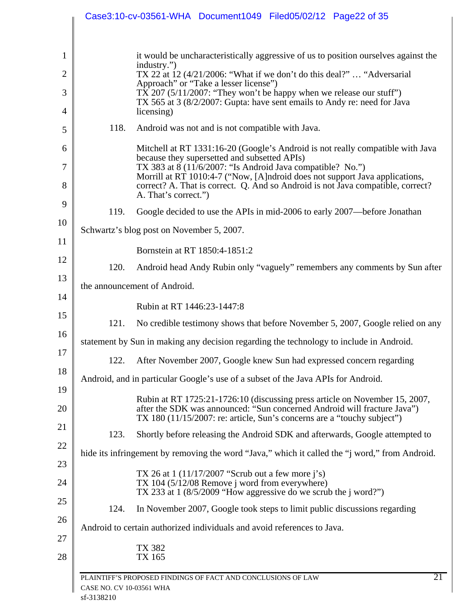|                |                          | Case3:10-cv-03561-WHA Document1049 Filed05/02/12 Page22 of 35                                                                                                                                                                                        |
|----------------|--------------------------|------------------------------------------------------------------------------------------------------------------------------------------------------------------------------------------------------------------------------------------------------|
| $\mathbf{1}$   |                          | it would be uncharacteristically aggressive of us to position ourselves against the                                                                                                                                                                  |
| $\overline{2}$ |                          | industry.")<br>TX 22 at 12 (4/21/2006: "What if we don't do this deal?"  "Adversarial                                                                                                                                                                |
| 3              |                          | Approach" or "Take a lesser license")<br>TX 207 $(5/11/2007)$ : "They won't be happy when we release our stuff")<br>TX 565 at 3 (8/2/2007: Gupta: have sent emails to Andy re: need for Java                                                         |
| $\overline{4}$ |                          | licensing)                                                                                                                                                                                                                                           |
| 5              | 118.                     | Android was not and is not compatible with Java.                                                                                                                                                                                                     |
| 6              |                          | Mitchell at RT 1331:16-20 (Google's Android is not really compatible with Java<br>because they supersetted and subsetted APIs)                                                                                                                       |
| $\tau$<br>8    |                          | TX 383 at 8 (11/6/2007: "Is Android Java compatible? No.")<br>Morrill at RT 1010:4-7 ("Now, [A]ndroid does not support Java applications,<br>correct? A. That is correct. Q. And so Android is not Java compatible, correct?<br>A. That's correct.") |
| 9              | 119.                     | Google decided to use the APIs in mid-2006 to early 2007—before Jonathan                                                                                                                                                                             |
| 10             |                          | Schwartz's blog post on November 5, 2007.                                                                                                                                                                                                            |
| 11             |                          | Bornstein at RT 1850:4-1851:2                                                                                                                                                                                                                        |
| 12             | 120.                     | Android head Andy Rubin only "vaguely" remembers any comments by Sun after                                                                                                                                                                           |
| 13             |                          | the announcement of Android.                                                                                                                                                                                                                         |
| 14             |                          | Rubin at RT 1446:23-1447:8                                                                                                                                                                                                                           |
| 15             | 121.                     | No credible testimony shows that before November 5, 2007, Google relied on any                                                                                                                                                                       |
| 16             |                          | statement by Sun in making any decision regarding the technology to include in Android.                                                                                                                                                              |
| 17             | 122.                     | After November 2007, Google knew Sun had expressed concern regarding                                                                                                                                                                                 |
| 18<br>19       |                          | Android, and in particular Google's use of a subset of the Java APIs for Android.                                                                                                                                                                    |
| 20             |                          | Rubin at RT 1725:21-1726:10 (discussing press article on November 15, 2007,<br>after the SDK was announced: "Sun concerned Android will fracture Java")<br>TX 180 (11/15/2007: re: article, Sun's concerns are a "touchy subject")                   |
| 21             | 123.                     | Shortly before releasing the Android SDK and afterwards, Google attempted to                                                                                                                                                                         |
| 22<br>23       |                          | hide its infringement by removing the word "Java," which it called the "j word," from Android.                                                                                                                                                       |
| 24             |                          | TX 26 at $1(11/17/2007$ "Scrub out a few more j's)<br>TX 104 (5/12/08 Remove j word from everywhere)<br>TX 233 at $1 \frac{8}{5}/2009$ "How aggressive do we scrub the j word?")                                                                     |
| 25             | 124.                     | In November 2007, Google took steps to limit public discussions regarding                                                                                                                                                                            |
| 26             |                          | Android to certain authorized individuals and avoid references to Java.                                                                                                                                                                              |
| 27<br>28       |                          | TX 382<br>TX 165                                                                                                                                                                                                                                     |
|                | CASE NO. CV 10-03561 WHA | 21<br>PLAINTIFF'S PROPOSED FINDINGS OF FACT AND CONCLUSIONS OF LAW                                                                                                                                                                                   |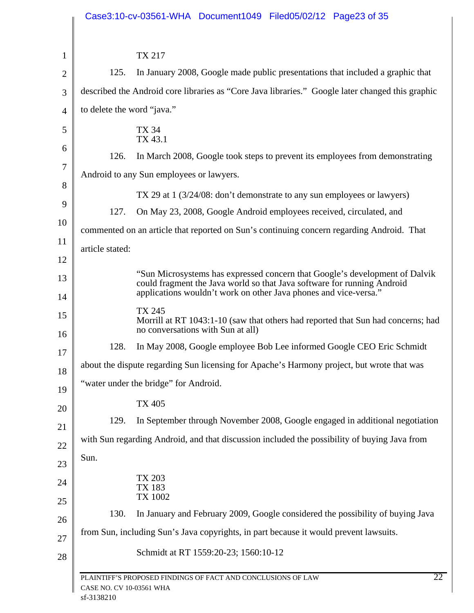|                |                            | Case3:10-cv-03561-WHA Document1049 Filed05/02/12 Page23 of 35                                                                                                                                                              |
|----------------|----------------------------|----------------------------------------------------------------------------------------------------------------------------------------------------------------------------------------------------------------------------|
|                |                            |                                                                                                                                                                                                                            |
| $\mathbf{1}$   |                            | <b>TX 217</b>                                                                                                                                                                                                              |
| 2              | 125.                       | In January 2008, Google made public presentations that included a graphic that                                                                                                                                             |
| 3              |                            | described the Android core libraries as "Core Java libraries." Google later changed this graphic                                                                                                                           |
| $\overline{4}$ | to delete the word "java." |                                                                                                                                                                                                                            |
| 5<br>6         |                            | TX 34<br>TX 43.1                                                                                                                                                                                                           |
|                | 126.                       | In March 2008, Google took steps to prevent its employees from demonstrating                                                                                                                                               |
|                |                            | Android to any Sun employees or lawyers.                                                                                                                                                                                   |
|                |                            | TX 29 at 1 (3/24/08: don't demonstrate to any sun employees or lawyers)                                                                                                                                                    |
|                | 127.                       | On May 23, 2008, Google Android employees received, circulated, and                                                                                                                                                        |
|                |                            | commented on an article that reported on Sun's continuing concern regarding Android. That                                                                                                                                  |
|                | article stated:            |                                                                                                                                                                                                                            |
|                |                            |                                                                                                                                                                                                                            |
|                |                            | "Sun Microsystems has expressed concern that Google's development of Dalvik<br>could fragment the Java world so that Java software for running Android<br>applications wouldn't work on other Java phones and vice-versa." |
|                |                            | TX 245<br>Morrill at RT 1043:1-10 (saw that others had reported that Sun had concerns; had<br>no conversations with Sun at all)                                                                                            |
|                | 128.                       | In May 2008, Google employee Bob Lee informed Google CEO Eric Schmidt                                                                                                                                                      |
|                |                            | about the dispute regarding Sun licensing for Apache's Harmony project, but wrote that was                                                                                                                                 |
|                |                            | "water under the bridge" for Android.                                                                                                                                                                                      |
|                |                            | <b>TX 405</b>                                                                                                                                                                                                              |
|                | 129.                       | In September through November 2008, Google engaged in additional negotiation                                                                                                                                               |
|                |                            | with Sun regarding Android, and that discussion included the possibility of buying Java from                                                                                                                               |
|                | Sun.                       |                                                                                                                                                                                                                            |
|                |                            | TX 203<br>TX 183                                                                                                                                                                                                           |
|                |                            | TX 1002                                                                                                                                                                                                                    |
|                | 130.                       | In January and February 2009, Google considered the possibility of buying Java                                                                                                                                             |
|                |                            | from Sun, including Sun's Java copyrights, in part because it would prevent lawsuits.                                                                                                                                      |
|                |                            | Schmidt at RT 1559:20-23; 1560:10-12                                                                                                                                                                                       |
|                | CASE NO. CV 10-03561 WHA   | 22<br>PLAINTIFF'S PROPOSED FINDINGS OF FACT AND CONCLUSIONS OF LAW                                                                                                                                                         |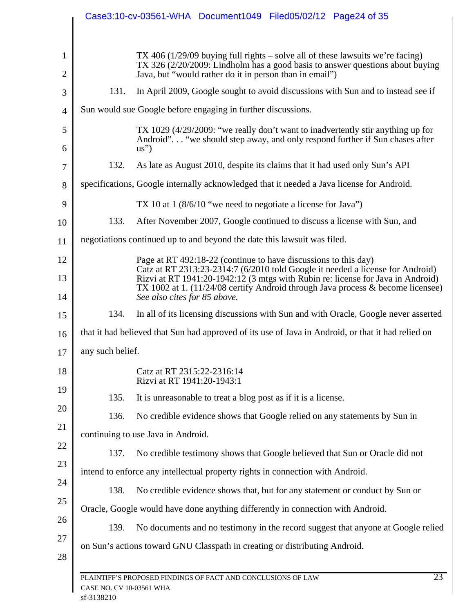|                |                          | Case3:10-cv-03561-WHA Document1049 Filed05/02/12 Page24 of 35                                                                                                                                                                                        |
|----------------|--------------------------|------------------------------------------------------------------------------------------------------------------------------------------------------------------------------------------------------------------------------------------------------|
|                |                          |                                                                                                                                                                                                                                                      |
| $\mathbf{1}$   |                          | TX 406 (1/29/09 buying full rights – solve all of these lawsuits we're facing)<br>TX 326 (2/20/2009: Lindholm has a good basis to answer questions about buying                                                                                      |
| $\overline{2}$ |                          | Java, but "would rather do it in person than in email")                                                                                                                                                                                              |
| 3              | 131.                     | In April 2009, Google sought to avoid discussions with Sun and to instead see if                                                                                                                                                                     |
| $\overline{4}$ |                          | Sun would sue Google before engaging in further discussions.                                                                                                                                                                                         |
| 5<br>6         |                          | TX 1029 (4/29/2009: "we really don't want to inadvertently stir anything up for<br>Android" "we should step away, and only respond further if Sun chases after<br>$\text{us}^{\prime\prime}$                                                         |
| 7              | 132.                     | As late as August 2010, despite its claims that it had used only Sun's API                                                                                                                                                                           |
| 8              |                          | specifications, Google internally acknowledged that it needed a Java license for Android.                                                                                                                                                            |
| 9              |                          | TX 10 at 1 $(8/6/10$ "we need to negotiate a license for Java")                                                                                                                                                                                      |
| 10             | 133.                     | After November 2007, Google continued to discuss a license with Sun, and                                                                                                                                                                             |
| 11             |                          | negotiations continued up to and beyond the date this lawsuit was filed.                                                                                                                                                                             |
| 12             |                          | Page at RT 492:18-22 (continue to have discussions to this day)                                                                                                                                                                                      |
| 13             |                          | Catz at RT 2313:23-2314:7 (6/2010 told Google it needed a license for Android)<br>Rizvi at RT 1941:20-1942:12 (3 mtgs with Rubin re: license for Java in Android)<br>TX 1002 at 1. (11/24/08 certify Android through Java process & become licensee) |
| 14             |                          | See also cites for 85 above.                                                                                                                                                                                                                         |
| 15             | 134.                     | In all of its licensing discussions with Sun and with Oracle, Google never asserted                                                                                                                                                                  |
| 16             |                          | that it had believed that Sun had approved of its use of Java in Android, or that it had relied on                                                                                                                                                   |
| 17             | any such belief.         |                                                                                                                                                                                                                                                      |
| 18             |                          | Catz at RT 2315:22-2316:14<br>Rizvi at RT 1941:20-1943:1                                                                                                                                                                                             |
| 19             | 135.                     | It is unreasonable to treat a blog post as if it is a license.                                                                                                                                                                                       |
| 20             | 136.                     | No credible evidence shows that Google relied on any statements by Sun in                                                                                                                                                                            |
| 21             |                          | continuing to use Java in Android.                                                                                                                                                                                                                   |
| 22             | 137.                     | No credible testimony shows that Google believed that Sun or Oracle did not                                                                                                                                                                          |
| 23             |                          | intend to enforce any intellectual property rights in connection with Android.                                                                                                                                                                       |
| 24             | 138.                     | No credible evidence shows that, but for any statement or conduct by Sun or                                                                                                                                                                          |
| 25             |                          | Oracle, Google would have done anything differently in connection with Android.                                                                                                                                                                      |
| 26             | 139.                     | No documents and no testimony in the record suggest that anyone at Google relied                                                                                                                                                                     |
| 27<br>28       |                          | on Sun's actions toward GNU Classpath in creating or distributing Android.                                                                                                                                                                           |
|                |                          |                                                                                                                                                                                                                                                      |
|                | CASE NO. CV 10-03561 WHA | 23<br>PLAINTIFF'S PROPOSED FINDINGS OF FACT AND CONCLUSIONS OF LAW                                                                                                                                                                                   |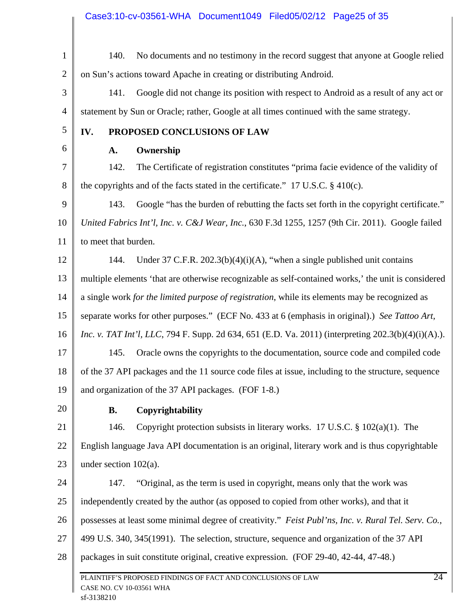1 2 140. No documents and no testimony in the record suggest that anyone at Google relied on Sun's actions toward Apache in creating or distributing Android.

3 4 141. Google did not change its position with respect to Android as a result of any act or statement by Sun or Oracle; rather, Google at all times continued with the same strategy.

5

6

### **IV. PROPOSED CONCLUSIONS OF LAW**

### **A. Ownership**

7 8 142. The Certificate of registration constitutes "prima facie evidence of the validity of the copyrights and of the facts stated in the certificate."  $17 \text{ U.S.C.}$  § 410(c).

9 10 11 143. Google "has the burden of rebutting the facts set forth in the copyright certificate." *United Fabrics Int'l, Inc. v. C&J Wear, Inc.*, 630 F.3d 1255, 1257 (9th Cir. 2011). Google failed to meet that burden.

12 13 14 15 16 17 18 144. Under 37 C.F.R. 202.3(b)(4)(i)(A), "when a single published unit contains multiple elements 'that are otherwise recognizable as self-contained works,' the unit is considered a single work *for the limited purpose of registration*, while its elements may be recognized as separate works for other purposes." (ECF No. 433 at 6 (emphasis in original).) *See Tattoo Art, Inc. v. TAT Int'l, LLC*, 794 F. Supp. 2d 634, 651 (E.D. Va. 2011) (interpreting 202.3(b)(4)(i)(A).). 145. Oracle owns the copyrights to the documentation, source code and compiled code of the 37 API packages and the 11 source code files at issue, including to the structure, sequence

19 and organization of the 37 API packages. (FOF 1-8.)

20

# **B. Copyrightability**

21 22 23 146. Copyright protection subsists in literary works. 17 U.S.C. § 102(a)(1). The English language Java API documentation is an original, literary work and is thus copyrightable under section 102(a).

24 25 26 27 28 PLAINTIFF'S PROPOSED FINDINGS OF FACT AND CONCLUSIONS OF LAW 24 147. "Original, as the term is used in copyright, means only that the work was independently created by the author (as opposed to copied from other works), and that it possesses at least some minimal degree of creativity." *Feist Publ'ns, Inc. v. Rural Tel. Serv. Co.*, 499 U.S. 340, 345(1991). The selection, structure, sequence and organization of the 37 API packages in suit constitute original, creative expression. (FOF 29-40, 42-44, 47-48.)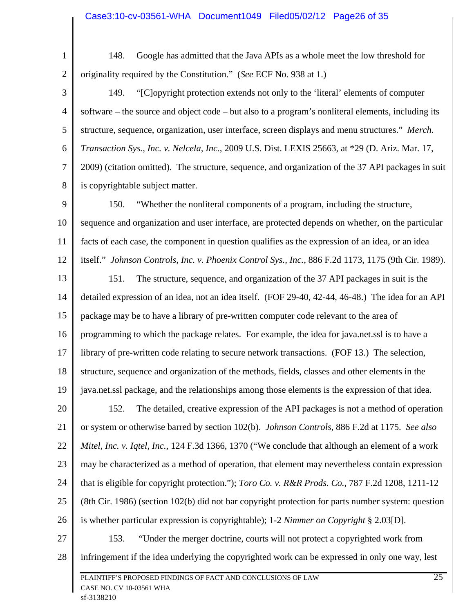1 2

148. Google has admitted that the Java APIs as a whole meet the low threshold for originality required by the Constitution." (*See* ECF No. 938 at 1.)

3 4 5 6 7 8 149. "[C]opyright protection extends not only to the 'literal' elements of computer software – the source and object code – but also to a program's nonliteral elements, including its structure, sequence, organization, user interface, screen displays and menu structures." *Merch. Transaction Sys., Inc. v. Nelcela, Inc.*, 2009 U.S. Dist. LEXIS 25663, at \*29 (D. Ariz. Mar. 17, 2009) (citation omitted). The structure, sequence, and organization of the 37 API packages in suit is copyrightable subject matter.

9 10 11 12 150. "Whether the nonliteral components of a program, including the structure, sequence and organization and user interface, are protected depends on whether, on the particular facts of each case, the component in question qualifies as the expression of an idea, or an idea itself." *Johnson Controls, Inc. v. Phoenix Control Sys., Inc.,* 886 F.2d 1173, 1175 (9th Cir. 1989).

13 14 15 16 17 18 19 151. The structure, sequence, and organization of the 37 API packages in suit is the detailed expression of an idea, not an idea itself. (FOF 29-40, 42-44, 46-48.) The idea for an API package may be to have a library of pre-written computer code relevant to the area of programming to which the package relates. For example, the idea for java.net.ssl is to have a library of pre-written code relating to secure network transactions. (FOF 13.) The selection, structure, sequence and organization of the methods, fields, classes and other elements in the java.net.ssl package, and the relationships among those elements is the expression of that idea.

20 21 22 23 24 25 26 152. The detailed, creative expression of the API packages is not a method of operation or system or otherwise barred by section 102(b). *Johnson Controls*, 886 F.2d at 1175. *See also Mitel, Inc. v. Iqtel, Inc.*, 124 F.3d 1366, 1370 ("We conclude that although an element of a work may be characterized as a method of operation, that element may nevertheless contain expression that is eligible for copyright protection."); *Toro Co. v. R&R Prods. Co.*, 787 F.2d 1208, 1211-12 (8th Cir. 1986) (section 102(b) did not bar copyright protection for parts number system: question is whether particular expression is copyrightable); 1-2 *Nimmer on Copyright* § 2.03[D].

27

153. "Under the merger doctrine, courts will not protect a copyrighted work from

28 infringement if the idea underlying the copyrighted work can be expressed in only one way, lest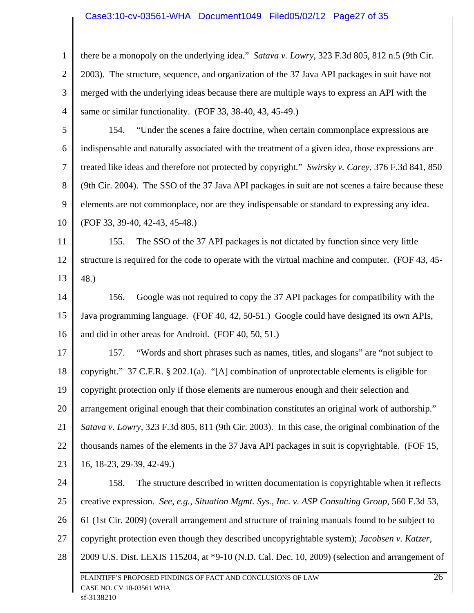#### Case3:10-cv-03561-WHA Document1049 Filed05/02/12 Page27 of 35

1 2 3 4 there be a monopoly on the underlying idea." *Satava v. Lowry*, 323 F.3d 805, 812 n.5 (9th Cir. 2003). The structure, sequence, and organization of the 37 Java API packages in suit have not merged with the underlying ideas because there are multiple ways to express an API with the same or similar functionality. (FOF 33, 38-40, 43, 45-49.)

5 6 7 8 9 10 154. "Under the scenes a faire doctrine, when certain commonplace expressions are indispensable and naturally associated with the treatment of a given idea, those expressions are treated like ideas and therefore not protected by copyright." *Swirsky v. Carey*, 376 F.3d 841, 850 (9th Cir. 2004). The SSO of the 37 Java API packages in suit are not scenes a faire because these elements are not commonplace, nor are they indispensable or standard to expressing any idea. (FOF 33, 39-40, 42-43, 45-48.)

11 12 13 155. The SSO of the 37 API packages is not dictated by function since very little structure is required for the code to operate with the virtual machine and computer. (FOF 43, 45- 48.)

14 15 16 156. Google was not required to copy the 37 API packages for compatibility with the Java programming language. (FOF 40, 42, 50-51.) Google could have designed its own APIs, and did in other areas for Android. (FOF 40, 50, 51.)

17 18 19 20 21 22 23 157. "Words and short phrases such as names, titles, and slogans" are "not subject to copyright." 37 C.F.R. § 202.1(a). "[A] combination of unprotectable elements is eligible for copyright protection only if those elements are numerous enough and their selection and arrangement original enough that their combination constitutes an original work of authorship." *Satava v. Lowry*, 323 F.3d 805, 811 (9th Cir. 2003). In this case, the original combination of the thousands names of the elements in the 37 Java API packages in suit is copyrightable. (FOF 15, 16, 18-23, 29-39, 42-49.)

24 25 26 27 28 PLAINTIFF'S PROPOSED FINDINGS OF FACT AND CONCLUSIONS OF LAW 26 CASE NO. CV 10-03561 WHA 158. The structure described in written documentation is copyrightable when it reflects creative expression. *See, e.g., Situation Mgmt. Sys., Inc. v. ASP Consulting Group*, 560 F.3d 53, 61 (1st Cir. 2009) (overall arrangement and structure of training manuals found to be subject to copyright protection even though they described uncopyrightable system); *Jacobsen v. Katzer*, 2009 U.S. Dist. LEXIS 115204, at \*9-10 (N.D. Cal. Dec. 10, 2009) (selection and arrangement of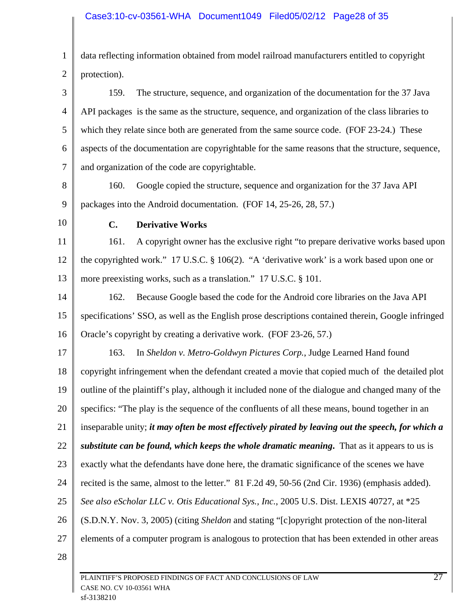1 2 data reflecting information obtained from model railroad manufacturers entitled to copyright protection).

3 4 5 6 7 159. The structure, sequence, and organization of the documentation for the 37 Java API packages is the same as the structure, sequence, and organization of the class libraries to which they relate since both are generated from the same source code. (FOF 23-24.) These aspects of the documentation are copyrightable for the same reasons that the structure, sequence, and organization of the code are copyrightable.

- 8 9 160. Google copied the structure, sequence and organization for the 37 Java API packages into the Android documentation. (FOF 14, 25-26, 28, 57.)
- 10

## **C. Derivative Works**

11 12 13 161. A copyright owner has the exclusive right "to prepare derivative works based upon the copyrighted work." 17 U.S.C. § 106(2). "A 'derivative work' is a work based upon one or more preexisting works, such as a translation." 17 U.S.C. § 101.

14 15 16 162. Because Google based the code for the Android core libraries on the Java API specifications' SSO, as well as the English prose descriptions contained therein, Google infringed Oracle's copyright by creating a derivative work. (FOF 23-26, 57.)

17 18 19 20 21 22 23 24 25 26 27 28 163. In *Sheldon v. Metro-Goldwyn Pictures Corp.*, Judge Learned Hand found copyright infringement when the defendant created a movie that copied much of the detailed plot outline of the plaintiff's play, although it included none of the dialogue and changed many of the specifics: "The play is the sequence of the confluents of all these means, bound together in an inseparable unity; *it may often be most effectively pirated by leaving out the speech, for which a substitute can be found, which keeps the whole dramatic meaning***.** That as it appears to us is exactly what the defendants have done here, the dramatic significance of the scenes we have recited is the same, almost to the letter." 81 F.2d 49, 50-56 (2nd Cir. 1936) (emphasis added). *See also eScholar LLC v. Otis Educational Sys., Inc.*, 2005 U.S. Dist. LEXIS 40727, at \*25 (S.D.N.Y. Nov. 3, 2005) (citing *Sheldon* and stating "[c]opyright protection of the non-literal elements of a computer program is analogous to protection that has been extended in other areas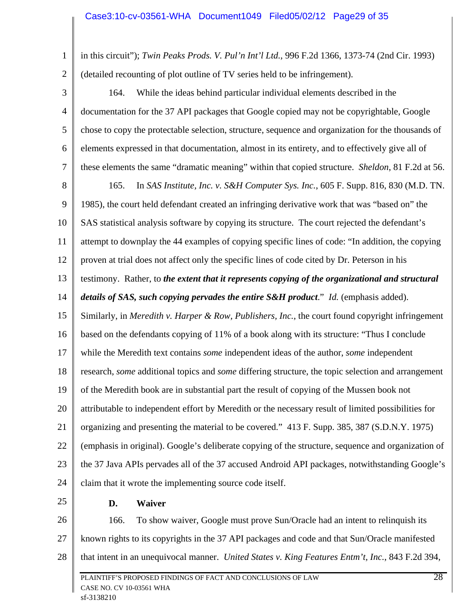1 2 in this circuit"); *Twin Peaks Prods. V. Pul'n Int'l Ltd.*, 996 F.2d 1366, 1373-74 (2nd Cir. 1993) (detailed recounting of plot outline of TV series held to be infringement).

3 4 5 6 7 8 9 10 11 12 13 14 15 16 17 18 19 20 21 22 23 24 164. While the ideas behind particular individual elements described in the documentation for the 37 API packages that Google copied may not be copyrightable, Google chose to copy the protectable selection, structure, sequence and organization for the thousands of elements expressed in that documentation, almost in its entirety, and to effectively give all of these elements the same "dramatic meaning" within that copied structure. *Sheldon*, 81 F.2d at 56. 165. In *SAS Institute, Inc. v. S&H Computer Sys. Inc.*, 605 F. Supp. 816, 830 (M.D. TN. 1985), the court held defendant created an infringing derivative work that was "based on" the SAS statistical analysis software by copying its structure. The court rejected the defendant's attempt to downplay the 44 examples of copying specific lines of code: "In addition, the copying proven at trial does not affect only the specific lines of code cited by Dr. Peterson in his testimony. Rather, to *the extent that it represents copying of the organizational and structural details of SAS, such copying pervades the entire S&H product.*" *Id.* (emphasis added). Similarly, in *Meredith v. Harper & Row, Publishers, Inc.*, the court found copyright infringement based on the defendants copying of 11% of a book along with its structure: "Thus I conclude while the Meredith text contains *some* independent ideas of the author, *some* independent research, *some* additional topics and *some* differing structure, the topic selection and arrangement of the Meredith book are in substantial part the result of copying of the Mussen book not attributable to independent effort by Meredith or the necessary result of limited possibilities for organizing and presenting the material to be covered." 413 F. Supp. 385, 387 (S.D.N.Y. 1975) (emphasis in original). Google's deliberate copying of the structure, sequence and organization of the 37 Java APIs pervades all of the 37 accused Android API packages, notwithstanding Google's claim that it wrote the implementing source code itself.

25

#### **D. Waiver**

26 27 28 PLAINTIFF'S PROPOSED FINDINGS OF FACT AND CONCLUSIONS OF LAW 28 CASE NO. CV 10-03561 WHA 166. To show waiver, Google must prove Sun/Oracle had an intent to relinquish its known rights to its copyrights in the 37 API packages and code and that Sun/Oracle manifested that intent in an unequivocal manner. *United States v. King Features Entm't, Inc.*, 843 F.2d 394,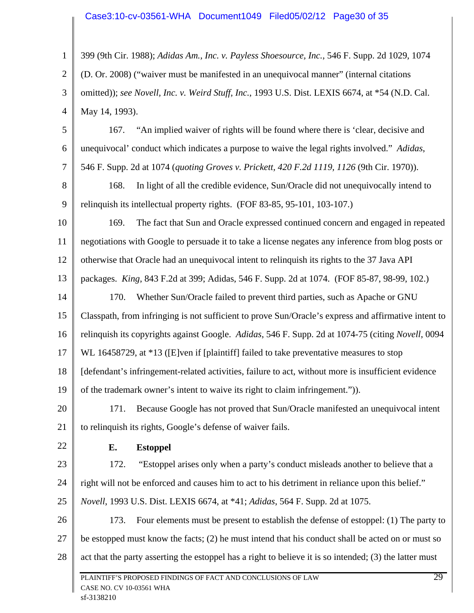#### Case3:10-cv-03561-WHA Document1049 Filed05/02/12 Page30 of 35

1 2 3 4 399 (9th Cir. 1988); *Adidas Am., Inc. v. Payless Shoesource, Inc.*, 546 F. Supp. 2d 1029, 1074 (D. Or. 2008) ("waiver must be manifested in an unequivocal manner" (internal citations omitted)); *see Novell, Inc. v. Weird Stuff, Inc.*, 1993 U.S. Dist. LEXIS 6674, at \*54 (N.D. Cal. May 14, 1993).

5 6 7 167. "An implied waiver of rights will be found where there is 'clear, decisive and unequivocal' conduct which indicates a purpose to waive the legal rights involved." *Adidas*, 546 F. Supp. 2d at 1074 (*quoting Groves v. Prickett, 420 F.2d 1119, 1126* (9th Cir. 1970)).

8 9 168. In light of all the credible evidence, Sun/Oracle did not unequivocally intend to relinquish its intellectual property rights. (FOF 83-85, 95-101, 103-107.)

10 11 12 169. The fact that Sun and Oracle expressed continued concern and engaged in repeated negotiations with Google to persuade it to take a license negates any inference from blog posts or otherwise that Oracle had an unequivocal intent to relinquish its rights to the 37 Java API

13 packages. *King*, 843 F.2d at 399; Adidas, 546 F. Supp. 2d at 1074. (FOF 85-87, 98-99, 102.)

14 15 16 170. Whether Sun/Oracle failed to prevent third parties, such as Apache or GNU Classpath, from infringing is not sufficient to prove Sun/Oracle's express and affirmative intent to relinquish its copyrights against Google. *Adidas*, 546 F. Supp. 2d at 1074-75 (citing *Novell*, 0094

17 WL 16458729, at \*13 ([E]ven if [plaintiff] failed to take preventative measures to stop

18 [defendant's infringement-related activities, failure to act, without more is insufficient evidence

19 of the trademark owner's intent to waive its right to claim infringement.")).

20 21 171. Because Google has not proved that Sun/Oracle manifested an unequivocal intent to relinquish its rights, Google's defense of waiver fails.

22

# **E. Estoppel**

23 24 25 172. "Estoppel arises only when a party's conduct misleads another to believe that a right will not be enforced and causes him to act to his detriment in reliance upon this belief." *Novell*, 1993 U.S. Dist. LEXIS 6674, at \*41; *Adidas*, 564 F. Supp. 2d at 1075.

26 27 28 173. Four elements must be present to establish the defense of estoppel: (1) The party to be estopped must know the facts; (2) he must intend that his conduct shall be acted on or must so act that the party asserting the estoppel has a right to believe it is so intended; (3) the latter must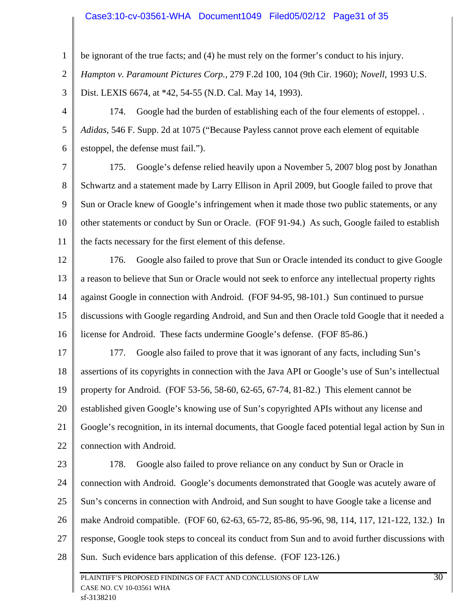#### Case3:10-cv-03561-WHA Document1049 Filed05/02/12 Page31 of 35

1 2 3 4 5 6 7 8 9 10 11 12 13 14 15 16 17 18 19 20 21 22 23 24 25 26 27 28 be ignorant of the true facts; and (4) he must rely on the former's conduct to his injury. *Hampton v. Paramount Pictures Corp.*, 279 F.2d 100, 104 (9th Cir. 1960); *Novell*, 1993 U.S. Dist. LEXIS 6674, at \*42, 54-55 (N.D. Cal. May 14, 1993). 174. Google had the burden of establishing each of the four elements of estoppel. . *Adidas*, 546 F. Supp. 2d at 1075 ("Because Payless cannot prove each element of equitable estoppel, the defense must fail."). 175. Google's defense relied heavily upon a November 5, 2007 blog post by Jonathan Schwartz and a statement made by Larry Ellison in April 2009, but Google failed to prove that Sun or Oracle knew of Google's infringement when it made those two public statements, or any other statements or conduct by Sun or Oracle. (FOF 91-94.) As such, Google failed to establish the facts necessary for the first element of this defense. 176. Google also failed to prove that Sun or Oracle intended its conduct to give Google a reason to believe that Sun or Oracle would not seek to enforce any intellectual property rights against Google in connection with Android. (FOF 94-95, 98-101.) Sun continued to pursue discussions with Google regarding Android, and Sun and then Oracle told Google that it needed a license for Android. These facts undermine Google's defense. (FOF 85-86.) 177. Google also failed to prove that it was ignorant of any facts, including Sun's assertions of its copyrights in connection with the Java API or Google's use of Sun's intellectual property for Android. (FOF 53-56, 58-60, 62-65, 67-74, 81-82.) This element cannot be established given Google's knowing use of Sun's copyrighted APIs without any license and Google's recognition, in its internal documents, that Google faced potential legal action by Sun in connection with Android. 178. Google also failed to prove reliance on any conduct by Sun or Oracle in connection with Android. Google's documents demonstrated that Google was acutely aware of Sun's concerns in connection with Android, and Sun sought to have Google take a license and make Android compatible. (FOF 60, 62-63, 65-72, 85-86, 95-96, 98, 114, 117, 121-122, 132.) In response, Google took steps to conceal its conduct from Sun and to avoid further discussions with Sun. Such evidence bars application of this defense. (FOF 123-126.)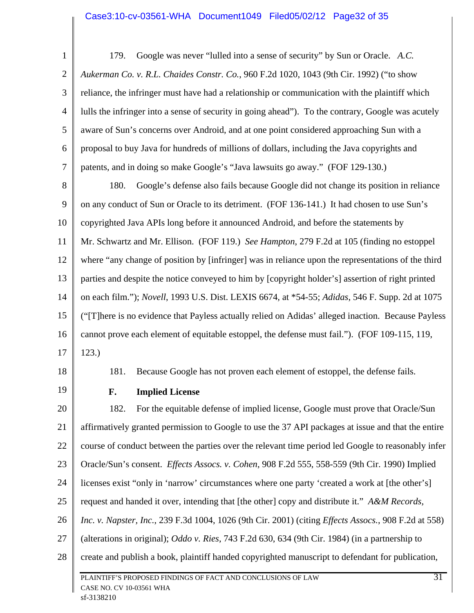1 2 3 4 5 6 7 179. Google was never "lulled into a sense of security" by Sun or Oracle. *A.C. Aukerman Co. v. R.L. Chaides Constr. Co.*, 960 F.2d 1020, 1043 (9th Cir. 1992) ("to show reliance, the infringer must have had a relationship or communication with the plaintiff which lulls the infringer into a sense of security in going ahead"). To the contrary, Google was acutely aware of Sun's concerns over Android, and at one point considered approaching Sun with a proposal to buy Java for hundreds of millions of dollars, including the Java copyrights and patents, and in doing so make Google's "Java lawsuits go away." (FOF 129-130.)

8 9 10 11 12 13 14 15 16 17 180. Google's defense also fails because Google did not change its position in reliance on any conduct of Sun or Oracle to its detriment. (FOF 136-141.) It had chosen to use Sun's copyrighted Java APIs long before it announced Android, and before the statements by Mr. Schwartz and Mr. Ellison. (FOF 119.) *See Hampton*, 279 F.2d at 105 (finding no estoppel where "any change of position by [infringer] was in reliance upon the representations of the third parties and despite the notice conveyed to him by [copyright holder's] assertion of right printed on each film."); *Novell*, 1993 U.S. Dist. LEXIS 6674, at \*54-55; *Adidas*, 546 F. Supp. 2d at 1075 ("[T]here is no evidence that Payless actually relied on Adidas' alleged inaction. Because Payless cannot prove each element of equitable estoppel, the defense must fail."). (FOF 109-115, 119, 123.)

18

19

181. Because Google has not proven each element of estoppel, the defense fails.

**F. Implied License** 

20 21 22 23 24 25 26 27 28 PLAINTIFF'S PROPOSED FINDINGS OF FACT AND CONCLUSIONS OF LAW 31 CASE NO. CV 10-03561 WHA 182. For the equitable defense of implied license, Google must prove that Oracle/Sun affirmatively granted permission to Google to use the 37 API packages at issue and that the entire course of conduct between the parties over the relevant time period led Google to reasonably infer Oracle/Sun's consent. *Effects Assocs. v. Cohen*, 908 F.2d 555, 558-559 (9th Cir. 1990) Implied licenses exist "only in 'narrow' circumstances where one party 'created a work at [the other's] request and handed it over, intending that [the other] copy and distribute it." *A&M Records, Inc. v. Napster, Inc.*, 239 F.3d 1004, 1026 (9th Cir. 2001) (citing *Effects Assocs.*, 908 F.2d at 558) (alterations in original); *Oddo v. Ries*, 743 F.2d 630, 634 (9th Cir. 1984) (in a partnership to create and publish a book, plaintiff handed copyrighted manuscript to defendant for publication,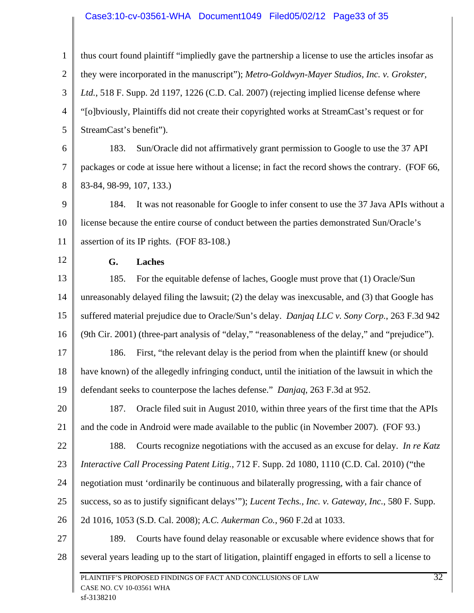#### Case3:10-cv-03561-WHA Document1049 Filed05/02/12 Page33 of 35

1 2 3 4 5 6 7 8 9 10 11 12 13 14 15 16 17 18 19 20 21 22 23 24 25 26 27 28 PLAINTIFF'S PROPOSED FINDINGS OF FACT AND CONCLUSIONS OF LAW 32 CASE NO. CV 10-03561 WHA thus court found plaintiff "impliedly gave the partnership a license to use the articles insofar as they were incorporated in the manuscript"); *Metro-Goldwyn-Mayer Studios, Inc. v. Grokster, Ltd.*, 518 F. Supp. 2d 1197, 1226 (C.D. Cal. 2007) (rejecting implied license defense where "[o]bviously, Plaintiffs did not create their copyrighted works at StreamCast's request or for StreamCast's benefit"). 183. Sun/Oracle did not affirmatively grant permission to Google to use the 37 API packages or code at issue here without a license; in fact the record shows the contrary. (FOF 66, 83-84, 98-99, 107, 133.) 184. It was not reasonable for Google to infer consent to use the 37 Java APIs without a license because the entire course of conduct between the parties demonstrated Sun/Oracle's assertion of its IP rights. (FOF 83-108.) **G. Laches**  185. For the equitable defense of laches, Google must prove that (1) Oracle/Sun unreasonably delayed filing the lawsuit; (2) the delay was inexcusable, and (3) that Google has suffered material prejudice due to Oracle/Sun's delay. *Danjaq LLC v. Sony Corp.*, 263 F.3d 942 (9th Cir. 2001) (three-part analysis of "delay," "reasonableness of the delay," and "prejudice"). 186. First, "the relevant delay is the period from when the plaintiff knew (or should have known) of the allegedly infringing conduct, until the initiation of the lawsuit in which the defendant seeks to counterpose the laches defense." *Danjaq*, 263 F.3d at 952. 187. Oracle filed suit in August 2010, within three years of the first time that the APIs and the code in Android were made available to the public (in November 2007). (FOF 93.) 188. Courts recognize negotiations with the accused as an excuse for delay. *In re Katz Interactive Call Processing Patent Litig.*, 712 F. Supp. 2d 1080, 1110 (C.D. Cal. 2010) ("the negotiation must 'ordinarily be continuous and bilaterally progressing, with a fair chance of success, so as to justify significant delays'"); *Lucent Techs., Inc. v. Gateway, Inc.*, 580 F. Supp. 2d 1016, 1053 (S.D. Cal. 2008); *A.C. Aukerman Co.*, 960 F.2d at 1033. 189. Courts have found delay reasonable or excusable where evidence shows that for several years leading up to the start of litigation, plaintiff engaged in efforts to sell a license to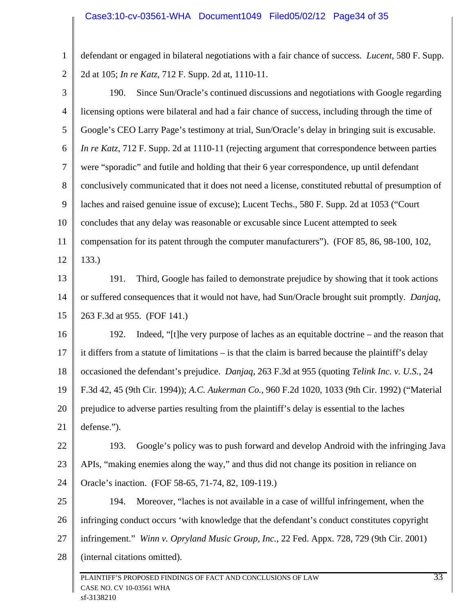1 2 defendant or engaged in bilateral negotiations with a fair chance of success. *Lucent*, 580 F. Supp. 2d at 105; *In re Katz*, 712 F. Supp. 2d at, 1110-11.

3 4 5 6 7 8 9 10 11 12 13 14 15 16 17 18 19 20 21 22 23 24 25 26 27 28 PLAINTIFF'S PROPOSED FINDINGS OF FACT AND CONCLUSIONS OF LAW 33 CASE NO. CV 10-03561 WHA 190. Since Sun/Oracle's continued discussions and negotiations with Google regarding licensing options were bilateral and had a fair chance of success, including through the time of Google's CEO Larry Page's testimony at trial, Sun/Oracle's delay in bringing suit is excusable. *In re Katz*, 712 F. Supp. 2d at 1110-11 (rejecting argument that correspondence between parties were "sporadic" and futile and holding that their 6 year correspondence, up until defendant conclusively communicated that it does not need a license, constituted rebuttal of presumption of laches and raised genuine issue of excuse); Lucent Techs., 580 F. Supp. 2d at 1053 ("Court concludes that any delay was reasonable or excusable since Lucent attempted to seek compensation for its patent through the computer manufacturers"). (FOF 85, 86, 98-100, 102, 133.) 191. Third, Google has failed to demonstrate prejudice by showing that it took actions or suffered consequences that it would not have, had Sun/Oracle brought suit promptly. *Danjaq*, 263 F.3d at 955. (FOF 141.) 192. Indeed, "[t]he very purpose of laches as an equitable doctrine – and the reason that it differs from a statute of limitations – is that the claim is barred because the plaintiff's delay occasioned the defendant's prejudice. *Danjaq*, 263 F.3d at 955 (quoting *Telink Inc. v. U.S.*, 24 F.3d 42, 45 (9th Cir. 1994)); *A.C. Aukerman Co.*, 960 F.2d 1020, 1033 (9th Cir. 1992) ("Material prejudice to adverse parties resulting from the plaintiff's delay is essential to the laches defense."). 193. Google's policy was to push forward and develop Android with the infringing Java APIs, "making enemies along the way," and thus did not change its position in reliance on Oracle's inaction. (FOF 58-65, 71-74, 82, 109-119.) 194. Moreover, "laches is not available in a case of willful infringement, when the infringing conduct occurs 'with knowledge that the defendant's conduct constitutes copyright infringement." *Winn v. Opryland Music Group, Inc.*, 22 Fed. Appx. 728, 729 (9th Cir. 2001) (internal citations omitted).